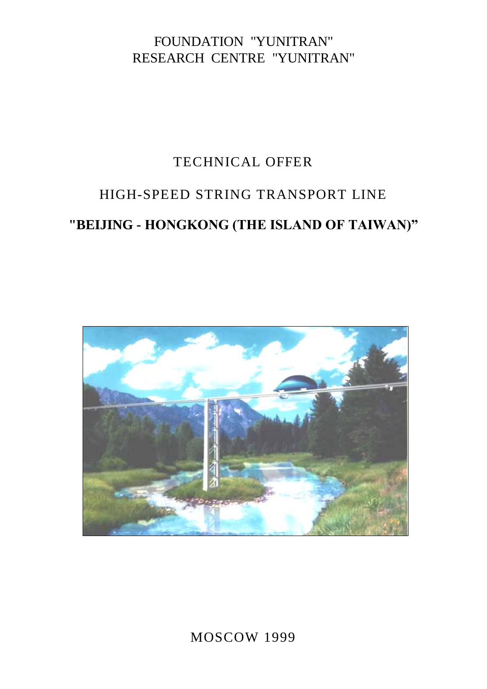## FOUNDATION "YUNITRAN" RESEARCH CENTRE "YUNITRAN"

# TECHNICAL OFFER

# HIGH-SPEED STRING TRANSPORT LINE **"BEIJING - HONGKONG (THE ISLAND OF TAIWAN)"**



MOSCOW 1999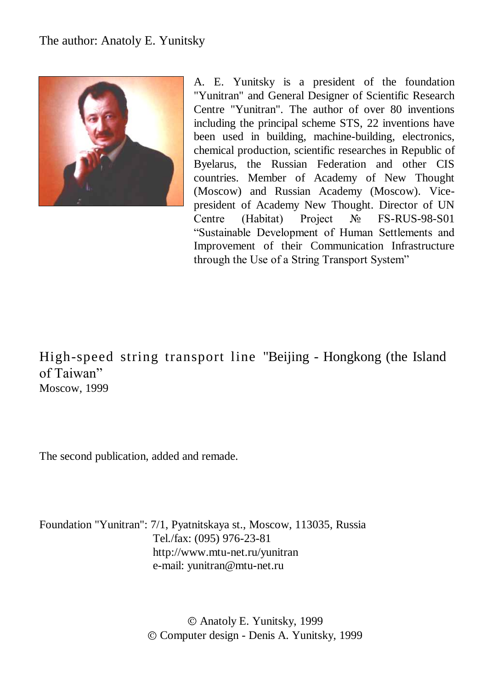## The author: Anatoly E. Yunitsky



A. E. Yunitsky is a president of the foundation "Yunitran" and General Designer of Scientific Research Centre "Yunitran". The author of over 80 inventions including the principal scheme STS, 22 inventions have been used in building, machine-building, electronics, chemical production, scientific researches in Republic of Byelarus, the Russian Federation and other CIS countries. Member of Academy of New Thought (Moscow) and Russian Academy (Moscow). Vicepresident of Academy New Thought. Director of UN Centre (Habitat) Project № FS-RUS-98-S01 "Sustainable Development of Human Settlements and Improvement of their Communication Infrastructure through the Use of a String Transport System"

High-speed string transport line "Beijing - Hongkong (the Island of Taiwan" Moscow, 1999

The second publication, added and remade.

Foundation "Yunitran": 7/1, Pyatnitskaya st., Moscow, 113035, Russia Tel./fax: (095) 976-23-81 http://www.mtu-net.ru/yunitran e-mail: yunitran@mtu-net.ru

> Anatoly E. Yunitsky, 1999 Computer design - Denis A. Yunitsky, 1999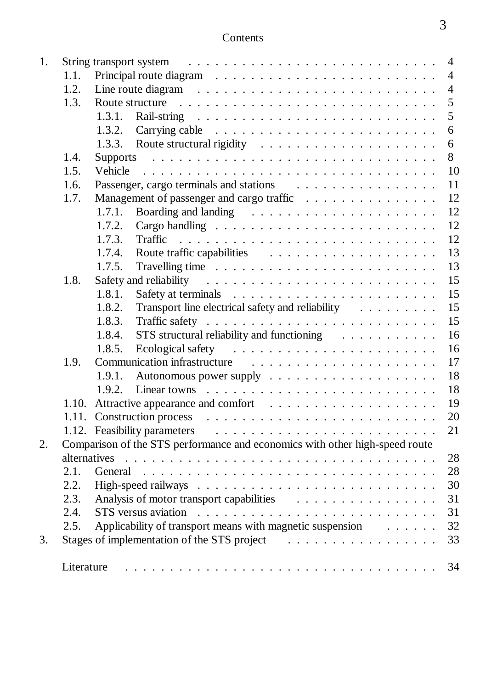| 1. |            | $\overline{4}$                                                                                                                                                                                                                       |
|----|------------|--------------------------------------------------------------------------------------------------------------------------------------------------------------------------------------------------------------------------------------|
|    | 1.1.       | $\overline{4}$                                                                                                                                                                                                                       |
|    | 1.2.       | $\overline{4}$                                                                                                                                                                                                                       |
|    | 1.3.       | 5<br>Route structure response to the contract of the structure of the structure of the structure of the structure of the structure of the structure of the structure of the structure of the structure of the structure of the stru  |
|    |            | 5                                                                                                                                                                                                                                    |
|    |            | 1.3.2. Carrying cable $\ldots \ldots \ldots \ldots \ldots \ldots \ldots \ldots$<br>6                                                                                                                                                 |
|    |            | 6                                                                                                                                                                                                                                    |
|    | 1.4.       | 8                                                                                                                                                                                                                                    |
|    | 1.5.       | 10<br>Vehicle                                                                                                                                                                                                                        |
|    | 1.6.       | 11                                                                                                                                                                                                                                   |
|    | 1.7.       | Management of passenger and cargo traffic<br>12                                                                                                                                                                                      |
|    |            | 12<br>1.7.1.                                                                                                                                                                                                                         |
|    |            | 12<br>1.7.2.                                                                                                                                                                                                                         |
|    |            | 12<br>1.7.3.                                                                                                                                                                                                                         |
|    |            | 13<br>1.7.4.                                                                                                                                                                                                                         |
|    |            | 13<br>1.7.5.                                                                                                                                                                                                                         |
|    | 1.8.       | 15                                                                                                                                                                                                                                   |
|    |            | 15<br>1.8.1.                                                                                                                                                                                                                         |
|    |            | 15<br>Transport line electrical safety and reliability<br>1.8.2.                                                                                                                                                                     |
|    |            | 15<br>1.8.3.                                                                                                                                                                                                                         |
|    |            | STS structural reliability and functioning<br>16<br>1.8.4.                                                                                                                                                                           |
|    |            | 16<br>1.8.5.                                                                                                                                                                                                                         |
|    | 1.9.       | 17<br>Communication infrastructure (Ed. Library Library Library Library Library Library Library Library Library Library Library Library Library Library Library Library Library Library Library Library Library Library Library Libr |
|    |            | 18<br>1.9.1.                                                                                                                                                                                                                         |
|    |            | 18<br>1.9.2.                                                                                                                                                                                                                         |
|    |            | 1.10. Attractive appearance and comfort<br>19                                                                                                                                                                                        |
|    |            | 20                                                                                                                                                                                                                                   |
|    |            | 21                                                                                                                                                                                                                                   |
| 2. |            | Comparison of the STS performance and economics with other high-speed route                                                                                                                                                          |
|    |            | 28                                                                                                                                                                                                                                   |
|    | 2.1.       | 28                                                                                                                                                                                                                                   |
|    | 2.2.       | 30                                                                                                                                                                                                                                   |
|    | 2.3.       | 31                                                                                                                                                                                                                                   |
|    | 2.4.       | 31                                                                                                                                                                                                                                   |
|    | 2.5.       | Applicability of transport means with magnetic suspension<br>32                                                                                                                                                                      |
| 3. |            | 33                                                                                                                                                                                                                                   |
|    | Literature | 34                                                                                                                                                                                                                                   |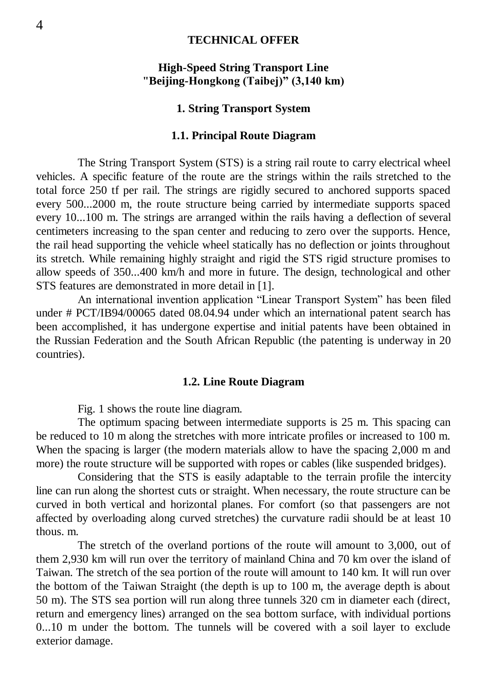#### **TECHNICAL OFFER**

#### **High-Speed String Transport Line "Beijing-Hongkong (Taibej)" (3,140 km)**

#### **1. String Transport System**

#### **1.1. Principal Route Diagram**

The String Transport System (STS) is a string rail route to carry electrical wheel vehicles. A specific feature of the route are the strings within the rails stretched to the total force 250 tf per rail. The strings are rigidly secured to anchored supports spaced every 500...2000 m, the route structure being carried by intermediate supports spaced every 10...100 m. The strings are arranged within the rails having a deflection of several centimeters increasing to the span center and reducing to zero over the supports. Hence, the rail head supporting the vehicle wheel statically has no deflection or joints throughout its stretch. While remaining highly straight and rigid the STS rigid structure promises to allow speeds of 350...400 km/h and more in future. The design, technological and other STS features are demonstrated in more detail in [1].

An international invention application "Linear Transport System" has been filed under # PCT/IB94/00065 dated 08.04.94 under which an international patent search has been accomplished, it has undergone expertise and initial patents have been obtained in the Russian Federation and the South African Republic (the patenting is underway in 20 countries).

#### **1.2. Line Route Diagram**

Fig. 1 shows the route line diagram.

The optimum spacing between intermediate supports is 25 m. This spacing can be reduced to 10 m along the stretches with more intricate profiles or increased to 100 m. When the spacing is larger (the modern materials allow to have the spacing 2,000 m and more) the route structure will be supported with ropes or cables (like suspended bridges).

Considering that the STS is easily adaptable to the terrain profile the intercity line can run along the shortest cuts or straight. When necessary, the route structure can be curved in both vertical and horizontal planes. For comfort (so that passengers are not affected by overloading along curved stretches) the curvature radii should be at least 10 thous. m.

The stretch of the overland portions of the route will amount to 3,000, out of them 2,930 km will run over the territory of mainland China and 70 km over the island of Taiwan. The stretch of the sea portion of the route will amount to 140 km. It will run over the bottom of the Taiwan Straight (the depth is up to 100 m, the average depth is about 50 m). The STS sea portion will run along three tunnels 320 cm in diameter each (direct, return and emergency lines) arranged on the sea bottom surface, with individual portions 0...10 m under the bottom. The tunnels will be covered with a soil layer to exclude exterior damage.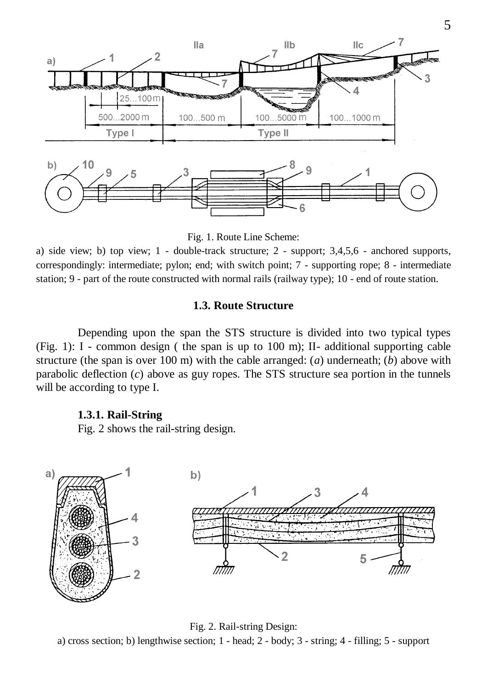

Fig. 1. Route Line Scheme:

a) side view; b) top view; 1 - double-track structure; 2 - support; 3,4,5,6 - anchored supports, correspondingly: intermediate; pylon; end; with switch point; 7 - supporting rope; 8 - intermediate station; 9 - part of the route constructed with normal rails (railway type); 10 - end of route station.

#### **1.3. Route Structure**

Depending upon the span the STS structure is divided into two typical types (Fig. 1): I - common design ( the span is up to 100 m); II- additional supporting cable structure (the span is over 100 m) with the cable arranged: (*a*) underneath; (*b*) above with parabolic deflection (*c*) above as guy ropes. The STS structure sea portion in the tunnels will be according to type I.

#### **1.3.1. Rail-String**

Fig. 2 shows the rail-string design.



Fig. 2. Rail-string Design: a) cross section; b) lengthwise section;  $1$  - head;  $2$  - body;  $3$  - string;  $4$  - filling;  $5$  - support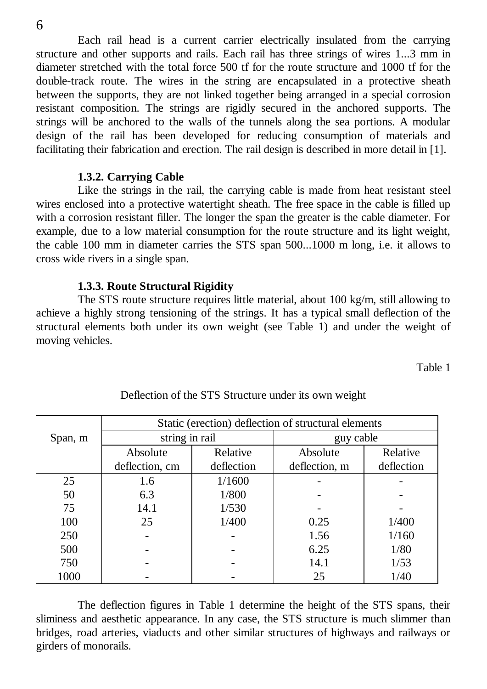Each rail head is a current carrier electrically insulated from the carrying structure and other supports and rails. Each rail has three strings of wires 1...3 mm in diameter stretched with the total force 500 tf for the route structure and 1000 tf for the double-track route. The wires in the string are encapsulated in a protective sheath between the supports, they are not linked together being arranged in a special corrosion resistant composition. The strings are rigidly secured in the anchored supports. The strings will be anchored to the walls of the tunnels along the sea portions. A modular design of the rail has been developed for reducing consumption of materials and facilitating their fabrication and erection. The rail design is described in more detail in [1].

#### **1.3.2. Carrying Cable**

Like the strings in the rail, the carrying cable is made from heat resistant steel wires enclosed into a protective watertight sheath. The free space in the cable is filled up with a corrosion resistant filler. The longer the span the greater is the cable diameter. For example, due to a low material consumption for the route structure and its light weight, the cable 100 mm in diameter carries the STS span 500...1000 m long, i.e. it allows to cross wide rivers in a single span.

#### **1.3.3. Route Structural Rigidity**

The STS route structure requires little material, about 100 kg/m, still allowing to achieve a highly strong tensioning of the strings. It has a typical small deflection of the structural elements both under its own weight (see Table 1) and under the weight of moving vehicles.

Table 1

|         | Static (erection) deflection of structural elements |            |               |            |  |
|---------|-----------------------------------------------------|------------|---------------|------------|--|
| Span, m | string in rail                                      |            | guy cable     |            |  |
|         | Absolute                                            | Relative   | Absolute      | Relative   |  |
|         | deflection, cm                                      | deflection | deflection, m | deflection |  |
| 25      | 1.6                                                 | 1/1600     |               |            |  |
| 50      | 6.3                                                 | 1/800      |               |            |  |
| 75      | 14.1                                                | 1/530      |               |            |  |
| 100     | 25                                                  | 1/400      | 0.25          | 1/400      |  |
| 250     |                                                     |            | 1.56          | 1/160      |  |
| 500     |                                                     |            | 6.25          | 1/80       |  |
| 750     |                                                     |            | 14.1          | 1/53       |  |
| 1000    |                                                     |            | 25            | 1/40       |  |

#### Deflection of the STS Structure under its own weight

The deflection figures in Table 1 determine the height of the STS spans, their sliminess and aesthetic appearance. In any case, the STS structure is much slimmer than bridges, road arteries, viaducts and other similar structures of highways and railways or girders of monorails.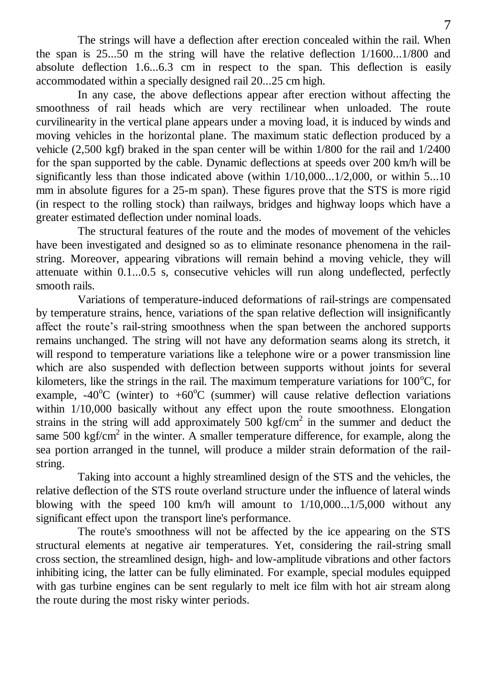The strings will have a deflection after erection concealed within the rail. When the span is 25...50 m the string will have the relative deflection 1/1600...1/800 and absolute deflection 1.6...6.3 cm in respect to the span. This deflection is easily accommodated within a specially designed rail 20...25 cm high.

In any case, the above deflections appear after erection without affecting the smoothness of rail heads which are very rectilinear when unloaded. The route curvilinearity in the vertical plane appears under a moving load, it is induced by winds and moving vehicles in the horizontal plane. The maximum static deflection produced by a vehicle (2,500 kgf) braked in the span center will be within 1/800 for the rail and 1/2400 for the span supported by the cable. Dynamic deflections at speeds over 200 km/h will be significantly less than those indicated above (within  $1/10,000...1/2,000$ , or within 5...10 mm in absolute figures for a 25-m span). These figures prove that the STS is more rigid (in respect to the rolling stock) than railways, bridges and highway loops which have a greater estimated deflection under nominal loads.

The structural features of the route and the modes of movement of the vehicles have been investigated and designed so as to eliminate resonance phenomena in the railstring. Moreover, appearing vibrations will remain behind a moving vehicle, they will attenuate within 0.1...0.5 s, consecutive vehicles will run along undeflected, perfectly smooth rails.

Variations of temperature-induced deformations of rail-strings are compensated by temperature strains, hence, variations of the span relative deflection will insignificantly affect the route"s rail-string smoothness when the span between the anchored supports remains unchanged. The string will not have any deformation seams along its stretch, it will respond to temperature variations like a telephone wire or a power transmission line which are also suspended with deflection between supports without joints for several kilometers, like the strings in the rail. The maximum temperature variations for  $100^{\circ}$ C, for example,  $-40^{\circ}$ C (winter) to  $+60^{\circ}$ C (summer) will cause relative deflection variations within  $1/10,000$  basically without any effect upon the route smoothness. Elongation strains in the string will add approximately 500 kgf/cm<sup>2</sup> in the summer and deduct the same  $500 \text{ kgf/cm}^2$  in the winter. A smaller temperature difference, for example, along the sea portion arranged in the tunnel, will produce a milder strain deformation of the railstring.

Taking into account a highly streamlined design of the STS and the vehicles, the relative deflection of the STS route overland structure under the influence of lateral winds blowing with the speed 100 km/h will amount to  $1/10,000...1/5,000$  without any significant effect upon the transport line's performance.

The route's smoothness will not be affected by the ice appearing on the STS structural elements at negative air temperatures. Yet, considering the rail-string small cross section, the streamlined design, high- and low-amplitude vibrations and other factors inhibiting icing, the latter can be fully eliminated. For example, special modules equipped with gas turbine engines can be sent regularly to melt ice film with hot air stream along the route during the most risky winter periods.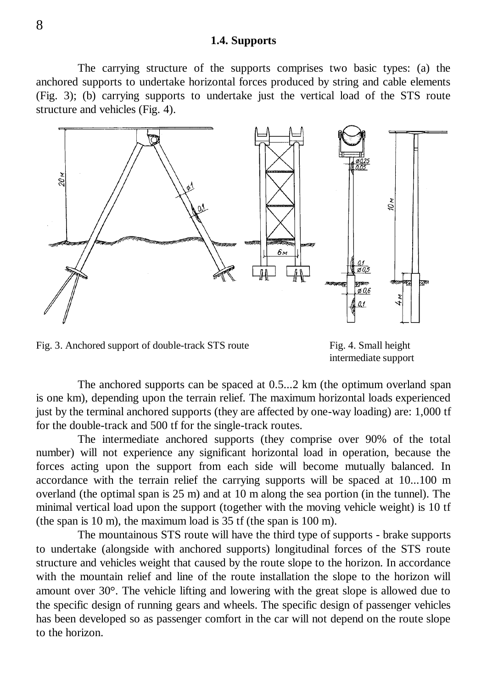#### **1.4. Supports**

The carrying structure of the supports comprises two basic types: (a) the anchored supports to undertake horizontal forces produced by string and cable elements (Fig. 3); (b) carrying supports to undertake just the vertical load of the STS route structure and vehicles (Fig. 4).



Fig. 3. Anchored support of double-track STS route Fig. 4. Small height

intermediate support

The anchored supports can be spaced at 0.5...2 km (the optimum overland span is one km), depending upon the terrain relief. The maximum horizontal loads experienced just by the terminal anchored supports (they are affected by one-way loading) are: 1,000 tf for the double-track and 500 tf for the single-track routes.

The intermediate anchored supports (they comprise over 90% of the total number) will not experience any significant horizontal load in operation, because the forces acting upon the support from each side will become mutually balanced. In accordance with the terrain relief the carrying supports will be spaced at 10...100 m overland (the optimal span is 25 m) and at 10 m along the sea portion (in the tunnel). The minimal vertical load upon the support (together with the moving vehicle weight) is 10 tf (the span is 10 m), the maximum load is 35 tf (the span is 100 m).

The mountainous STS route will have the third type of supports - brake supports to undertake (alongside with anchored supports) longitudinal forces of the STS route structure and vehicles weight that caused by the route slope to the horizon. In accordance with the mountain relief and line of the route installation the slope to the horizon will amount over  $30^\circ$ . The vehicle lifting and lowering with the great slope is allowed due to the specific design of running gears and wheels. The specific design of passenger vehicles has been developed so as passenger comfort in the car will not depend on the route slope to the horizon.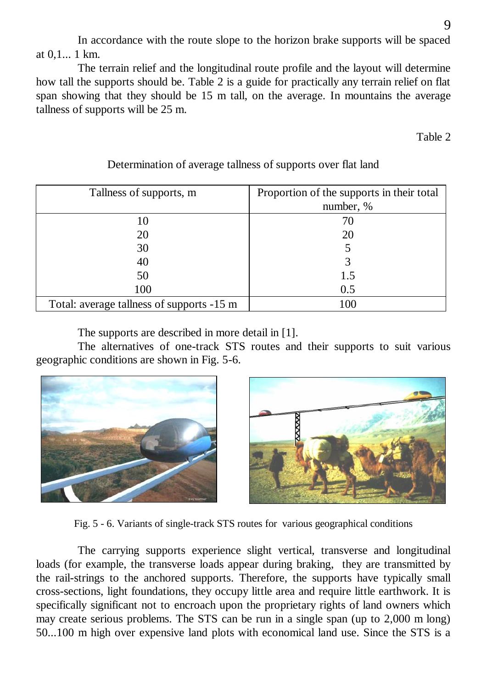In accordance with the route slope to the horizon brake supports will be spaced at 0,1... 1 km.

The terrain relief and the longitudinal route profile and the layout will determine how tall the supports should be. Table 2 is a guide for practically any terrain relief on flat span showing that they should be 15 m tall, on the average. In mountains the average tallness of supports will be 25 m.

Table 2

| Tallness of supports, m                   | Proportion of the supports in their total |
|-------------------------------------------|-------------------------------------------|
|                                           | number, %                                 |
| 10                                        | 70                                        |
| 20                                        | 20                                        |
| 30                                        |                                           |
| 40                                        |                                           |
| 50                                        | 1.5                                       |
| 100                                       | 0.5                                       |
| Total: average tallness of supports -15 m | 100                                       |

## Determination of average tallness of supports over flat land

The supports are described in more detail in [1].

The alternatives of one-track STS routes and their supports to suit various geographic conditions are shown in Fig. 5-6.





Fig. 5 - 6. Variants of single-track STS routes for various geographical conditions

The carrying supports experience slight vertical, transverse and longitudinal loads (for example, the transverse loads appear during braking, they are transmitted by the rail-strings to the anchored supports. Therefore, the supports have typically small cross-sections, light foundations, they occupy little area and require little earthwork. It is specifically significant not to encroach upon the proprietary rights of land owners which may create serious problems. The STS can be run in a single span (up to 2,000 m long) 50...100 m high over expensive land plots with economical land use. Since the STS is a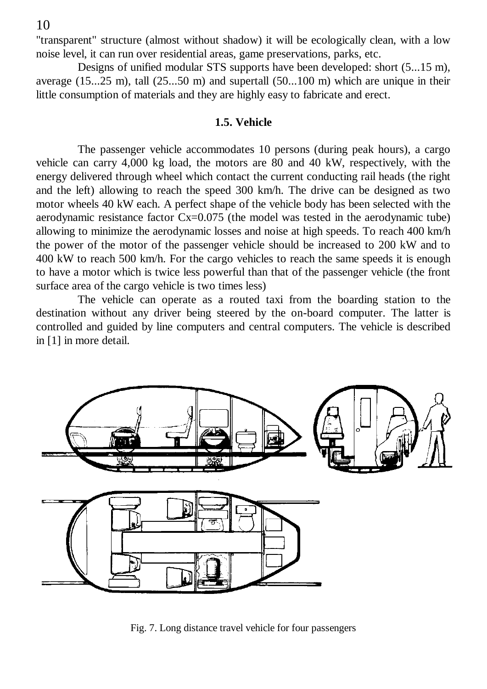"transparent" structure (almost without shadow) it will be ecologically clean, with a low noise level, it can run over residential areas, game preservations, parks, etc.

Designs of unified modular STS supports have been developed: short (5...15 m), average  $(15...25 \text{ m})$ , tall  $(25...50 \text{ m})$  and supertall  $(50...100 \text{ m})$  which are unique in their little consumption of materials and they are highly easy to fabricate and erect.

#### **1.5. Vehicle**

The passenger vehicle accommodates 10 persons (during peak hours), a cargo vehicle can carry 4,000 kg load, the motors are 80 and 40 kW, respectively, with the energy delivered through wheel which contact the current conducting rail heads (the right and the left) allowing to reach the speed 300 km/h. The drive can be designed as two motor wheels 40 kW each. A perfect shape of the vehicle body has been selected with the aerodynamic resistance factor  $Cx=0.075$  (the model was tested in the aerodynamic tube) allowing to minimize the aerodynamic losses and noise at high speeds. To reach 400 km/h the power of the motor of the passenger vehicle should be increased to 200 kW and to 400 kW to reach 500 km/h. For the cargo vehicles to reach the same speeds it is enough to have a motor which is twice less powerful than that of the passenger vehicle (the front surface area of the cargo vehicle is two times less)

The vehicle can operate as a routed taxi from the boarding station to the destination without any driver being steered by the on-board computer. The latter is controlled and guided by line computers and central computers. The vehicle is described in [1] in more detail.



Fig. 7. Long distance travel vehicle for four passengers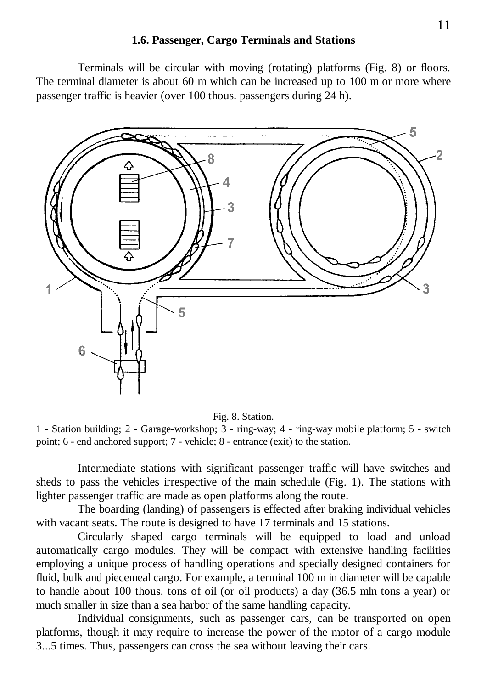#### **1.6. Passenger, Cargo Terminals and Stations**

Terminals will be circular with moving (rotating) platforms (Fig. 8) or floors. The terminal diameter is about 60 m which can be increased up to 100 m or more where passenger traffic is heavier (over 100 thous. passengers during 24 h).





1 - Station building; 2 - Garage-workshop; 3 - ring-way; 4 - ring-way mobile platform; 5 - switch point; 6 - end anchored support; 7 - vehicle; 8 - entrance (exit) to the station.

Intermediate stations with significant passenger traffic will have switches and sheds to pass the vehicles irrespective of the main schedule (Fig. 1). The stations with lighter passenger traffic are made as open platforms along the route.

The boarding (landing) of passengers is effected after braking individual vehicles with vacant seats. The route is designed to have 17 terminals and 15 stations.

Circularly shaped cargo terminals will be equipped to load and unload automatically cargo modules. They will be compact with extensive handling facilities employing a unique process of handling operations and specially designed containers for fluid, bulk and piecemeal cargo. For example, a terminal 100 m in diameter will be capable to handle about 100 thous. tons of oil (or oil products) a day (36.5 mln tons a year) or much smaller in size than a sea harbor of the same handling capacity.

Individual consignments, such as passenger cars, can be transported on open platforms, though it may require to increase the power of the motor of a cargo module 3...5 times. Thus, passengers can cross the sea without leaving their cars.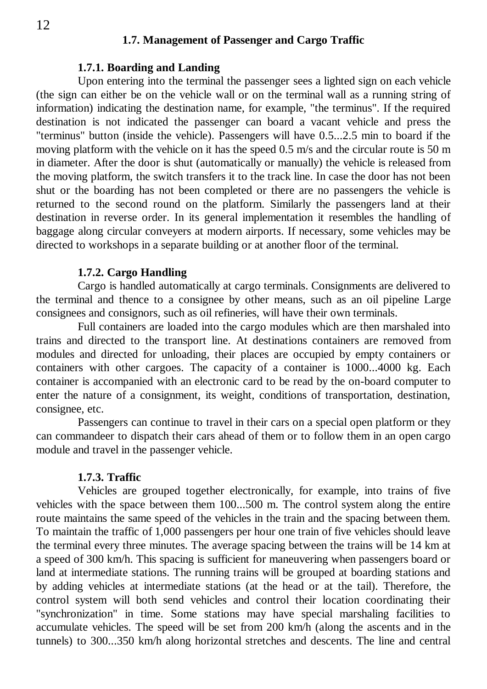#### **1.7. Management of Passenger and Cargo Traffic**

#### **1.7.1. Boarding and Landing**

Upon entering into the terminal the passenger sees a lighted sign on each vehicle (the sign can either be on the vehicle wall or on the terminal wall as a running string of information) indicating the destination name, for example, "the terminus". If the required destination is not indicated the passenger can board a vacant vehicle and press the "terminus" button (inside the vehicle). Passengers will have 0.5...2.5 min to board if the moving platform with the vehicle on it has the speed 0.5 m/s and the circular route is 50 m in diameter. After the door is shut (automatically or manually) the vehicle is released from the moving platform, the switch transfers it to the track line. In case the door has not been shut or the boarding has not been completed or there are no passengers the vehicle is returned to the second round on the platform. Similarly the passengers land at their destination in reverse order. In its general implementation it resembles the handling of baggage along circular conveyers at modern airports. If necessary, some vehicles may be directed to workshops in a separate building or at another floor of the terminal.

#### **1.7.2. Cargo Handling**

Cargo is handled automatically at cargo terminals. Consignments are delivered to the terminal and thence to a consignee by other means, such as an oil pipeline Large consignees and consignors, such as oil refineries, will have their own terminals.

Full containers are loaded into the cargo modules which are then marshaled into trains and directed to the transport line. At destinations containers are removed from modules and directed for unloading, their places are occupied by empty containers or containers with other cargoes. The capacity of a container is 1000...4000 kg. Each container is accompanied with an electronic card to be read by the on-board computer to enter the nature of a consignment, its weight, conditions of transportation, destination, consignee, etc.

Passengers can continue to travel in their cars on a special open platform or they can commandeer to dispatch their cars ahead of them or to follow them in an open cargo module and travel in the passenger vehicle.

#### **1.7.3. Traffic**

Vehicles are grouped together electronically, for example, into trains of five vehicles with the space between them 100...500 m. The control system along the entire route maintains the same speed of the vehicles in the train and the spacing between them. To maintain the traffic of 1,000 passengers per hour one train of five vehicles should leave the terminal every three minutes. The average spacing between the trains will be 14 km at a speed of 300 km/h. This spacing is sufficient for maneuvering when passengers board or land at intermediate stations. The running trains will be grouped at boarding stations and by adding vehicles at intermediate stations (at the head or at the tail). Therefore, the control system will both send vehicles and control their location coordinating their "synchronization" in time. Some stations may have special marshaling facilities to accumulate vehicles. The speed will be set from 200 km/h (along the ascents and in the tunnels) to 300...350 km/h along horizontal stretches and descents. The line and central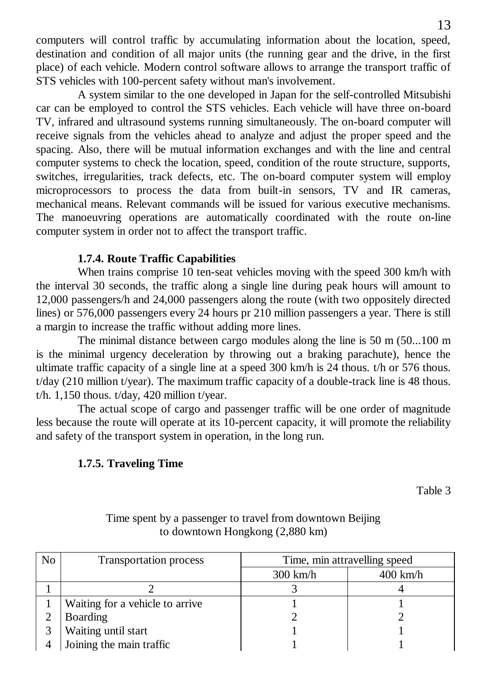computers will control traffic by accumulating information about the location, speed, destination and condition of all major units (the running gear and the drive, in the first place) of each vehicle. Modern control software allows to arrange the transport traffic of STS vehicles with 100-percent safety without man's involvement.

A system similar to the one developed in Japan for the self-controlled Mitsubishi car can be employed to control the STS vehicles. Each vehicle will have three on-board TV, infrared and ultrasound systems running simultaneously. The on-board computer will receive signals from the vehicles ahead to analyze and adjust the proper speed and the spacing. Also, there will be mutual information exchanges and with the line and central computer systems to check the location, speed, condition of the route structure, supports, switches, irregularities, track defects, etc. The on-board computer system will employ microprocessors to process the data from built-in sensors, TV and IR cameras, mechanical means. Relevant commands will be issued for various executive mechanisms. The manoeuvring operations are automatically coordinated with the route on-line computer system in order not to affect the transport traffic.

## **1.7.4. Route Traffic Capabilities**

When trains comprise 10 ten-seat vehicles moving with the speed 300 km/h with the interval 30 seconds, the traffic along a single line during peak hours will amount to 12,000 passengers/h and 24,000 passengers along the route (with two oppositely directed lines) or 576,000 passengers every 24 hours pr 210 million passengers a year. There is still a margin to increase the traffic without adding more lines.

The minimal distance between cargo modules along the line is 50 m (50...100 m is the minimal urgency deceleration by throwing out a braking parachute), hence the ultimate traffic capacity of a single line at a speed 300 km/h is 24 thous. t/h or 576 thous. t/day (210 million t/year). The maximum traffic capacity of a double-track line is 48 thous. t/h.  $1,150$  thous. t/day, 420 million t/year.

The actual scope of cargo and passenger traffic will be one order of magnitude less because the route will operate at its 10-percent capacity, it will promote the reliability and safety of the transport system in operation, in the long run.

## **1.7.5. Traveling Time**

Table 3

| No. | <b>Transportation process</b>    | Time, min attravelling speed |            |  |
|-----|----------------------------------|------------------------------|------------|--|
|     |                                  | $300 \text{ km/h}$           | $400$ km/h |  |
|     |                                  |                              |            |  |
|     | Waiting for a vehicle to arrive. |                              |            |  |
|     | Boarding                         |                              |            |  |
|     | Waiting until start              |                              |            |  |
|     | Joining the main traffic         |                              |            |  |

## Time spent by a passenger to travel from downtown Beijing to downtown Hongkong (2,880 km)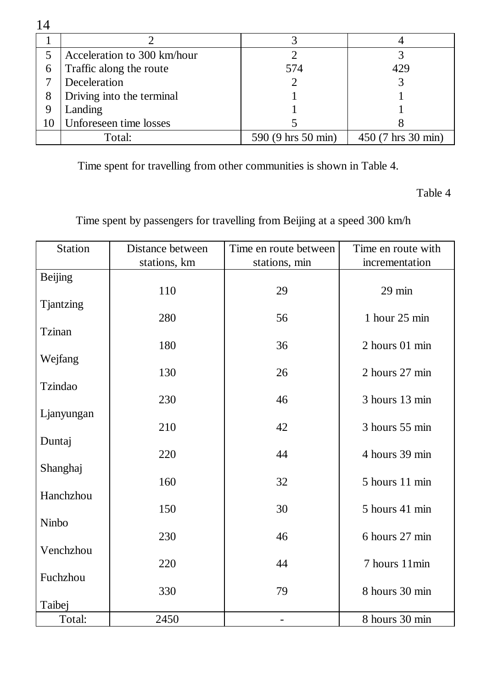|    | Acceleration to 300 km/hour |                    |                    |
|----|-----------------------------|--------------------|--------------------|
| 6  | Traffic along the route     | 574                | 429                |
|    | Deceleration                |                    |                    |
| 8  | Driving into the terminal   |                    |                    |
| 9  | Landing                     |                    |                    |
| 10 | Unforeseen time losses      |                    |                    |
|    | Total:                      | 590 (9 hrs 50 min) | 450 (7 hrs 30 min) |

Time spent for travelling from other communities is shown in Table 4.

Table 4

Time spent by passengers for travelling from Beijing at a speed 300 km/h

| <b>Station</b>                     | Distance between | Time en route between | Time en route with      |
|------------------------------------|------------------|-----------------------|-------------------------|
|                                    | stations, km     | stations, min         | incrementation          |
| <b>Beijing</b><br><b>Tjantzing</b> | 110              | 29                    | $29$ min                |
|                                    | 280              | 56                    | 1 hour $25 \text{ min}$ |
| Tzinan                             | 180              | 36                    | 2 hours 01 min          |
| Wejfang                            | 130              | 26                    | 2 hours 27 min          |
| Tzindao                            | 230              | 46                    | 3 hours 13 min          |
| Ljanyungan                         | 210              | 42                    | 3 hours 55 min          |
| Duntaj                             | 220              | 44                    | 4 hours 39 min          |
| Shanghaj                           | 160              | 32                    | 5 hours 11 min          |
| Hanchzhou                          | 150              | 30                    | 5 hours 41 min          |
| Ninbo                              | 230              | 46                    | 6 hours 27 min          |
| Venchzhou                          | 220              | 44                    | 7 hours 11min           |
| Fuchzhou                           | 330              | 79                    | 8 hours 30 min          |
| Taibej                             |                  |                       |                         |
| Total:                             | 2450             |                       | 8 hours 30 min          |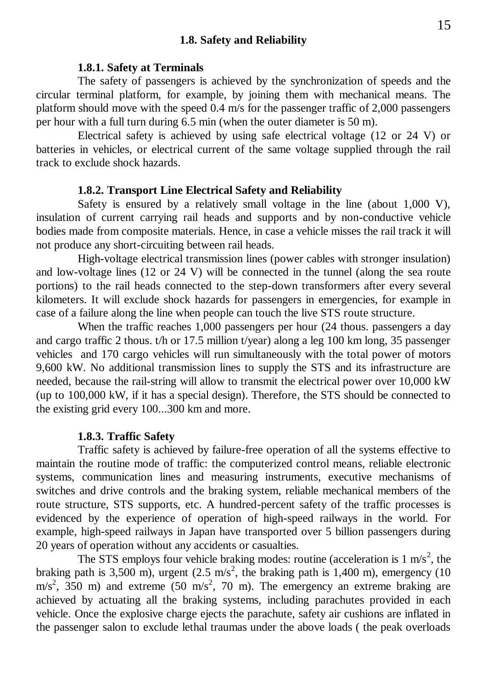#### **1.8. Safety and Reliability**

#### **1.8.1. Safety at Terminals**

The safety of passengers is achieved by the synchronization of speeds and the circular terminal platform, for example, by joining them with mechanical means. The platform should move with the speed 0.4 m/s for the passenger traffic of 2,000 passengers per hour with a full turn during 6.5 min (when the outer diameter is 50 m).

Electrical safety is achieved by using safe electrical voltage (12 or 24 V) or batteries in vehicles, or electrical current of the same voltage supplied through the rail track to exclude shock hazards.

#### **1.8.2. Transport Line Electrical Safety and Reliability**

Safety is ensured by a relatively small voltage in the line (about 1,000 V), insulation of current carrying rail heads and supports and by non-conductive vehicle bodies made from composite materials. Hence, in case a vehicle misses the rail track it will not produce any short-circuiting between rail heads.

High-voltage electrical transmission lines (power cables with stronger insulation) and low-voltage lines (12 or 24 V) will be connected in the tunnel (along the sea route portions) to the rail heads connected to the step-down transformers after every several kilometers. It will exclude shock hazards for passengers in emergencies, for example in case of a failure along the line when people can touch the live STS route structure.

When the traffic reaches 1,000 passengers per hour (24 thous. passengers a day and cargo traffic 2 thous. t/h or 17.5 million t/year) along a leg 100 km long, 35 passenger vehicles and 170 cargo vehicles will run simultaneously with the total power of motors 9,600 kW. No additional transmission lines to supply the STS and its infrastructure are needed, because the rail-string will allow to transmit the electrical power over 10,000 kW (up to 100,000 kW, if it has a special design). Therefore, the STS should be connected to the existing grid every 100...300 km and more.

#### **1.8.3. Traffic Safety**

Traffic safety is achieved by failure-free operation of all the systems effective to maintain the routine mode of traffic: the computerized control means, reliable electronic systems, communication lines and measuring instruments, executive mechanisms of switches and drive controls and the braking system, reliable mechanical members of the route structure, STS supports, etc. A hundred-percent safety of the traffic processes is evidenced by the experience of operation of high-speed railways in the world. For example, high-speed railways in Japan have transported over 5 billion passengers during 20 years of operation without any accidents or casualties.

The STS employs four vehicle braking modes: routine (acceleration is  $1 \text{ m/s}^2$ , the braking path is 3,500 m), urgent  $(2.5 \text{ m/s}^2)$ , the braking path is 1,400 m), emergency (10  $m/s<sup>2</sup>$ , 350 m) and extreme (50 m/s<sup>2</sup>, 70 m). The emergency an extreme braking are achieved by actuating all the braking systems, including parachutes provided in each vehicle. Once the explosive charge ejects the parachute, safety air cushions are inflated in the passenger salon to exclude lethal traumas under the above loads ( the peak overloads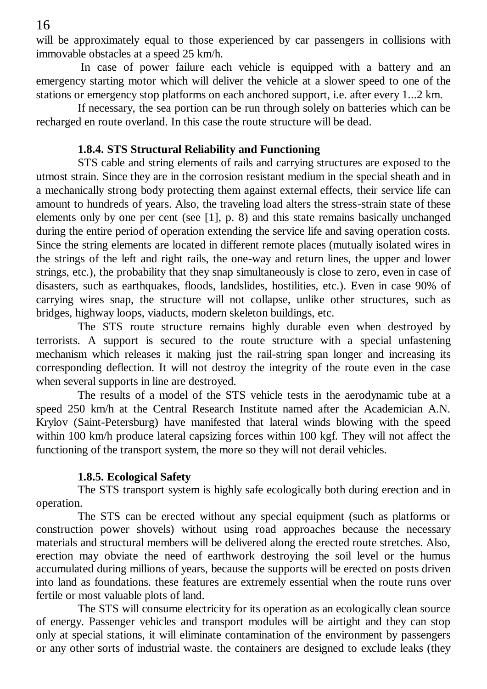will be approximately equal to those experienced by car passengers in collisions with immovable obstacles at a speed 25 km/h.

In case of power failure each vehicle is equipped with a battery and an emergency starting motor which will deliver the vehicle at a slower speed to one of the stations or emergency stop platforms on each anchored support, i.e. after every 1...2 km.

If necessary, the sea portion can be run through solely on batteries which can be recharged en route overland. In this case the route structure will be dead.

#### **1.8.4. STS Structural Reliability and Functioning**

STS cable and string elements of rails and carrying structures are exposed to the utmost strain. Since they are in the corrosion resistant medium in the special sheath and in a mechanically strong body protecting them against external effects, their service life can amount to hundreds of years. Also, the traveling load alters the stress-strain state of these elements only by one per cent (see [1], p. 8) and this state remains basically unchanged during the entire period of operation extending the service life and saving operation costs. Since the string elements are located in different remote places (mutually isolated wires in the strings of the left and right rails, the one-way and return lines, the upper and lower strings, etc.), the probability that they snap simultaneously is close to zero, even in case of disasters, such as earthquakes, floods, landslides, hostilities, etc.). Even in case 90% of carrying wires snap, the structure will not collapse, unlike other structures, such as bridges, highway loops, viaducts, modern skeleton buildings, etc.

The STS route structure remains highly durable even when destroyed by terrorists. A support is secured to the route structure with a special unfastening mechanism which releases it making just the rail-string span longer and increasing its corresponding deflection. It will not destroy the integrity of the route even in the case when several supports in line are destroyed.

The results of a model of the STS vehicle tests in the aerodynamic tube at a speed 250 km/h at the Central Research Institute named after the Academician A.N. Krylov (Saint-Petersburg) have manifested that lateral winds blowing with the speed within 100 km/h produce lateral capsizing forces within 100 kgf. They will not affect the functioning of the transport system, the more so they will not derail vehicles.

#### **1.8.5. Ecological Safety**

The STS transport system is highly safe ecologically both during erection and in operation.

The STS can be erected without any special equipment (such as platforms or construction power shovels) without using road approaches because the necessary materials and structural members will be delivered along the erected route stretches. Also, erection may obviate the need of earthwork destroying the soil level or the humus accumulated during millions of years, because the supports will be erected on posts driven into land as foundations. these features are extremely essential when the route runs over fertile or most valuable plots of land.

The STS will consume electricity for its operation as an ecologically clean source of energy. Passenger vehicles and transport modules will be airtight and they can stop only at special stations, it will eliminate contamination of the environment by passengers or any other sorts of industrial waste. the containers are designed to exclude leaks (they

16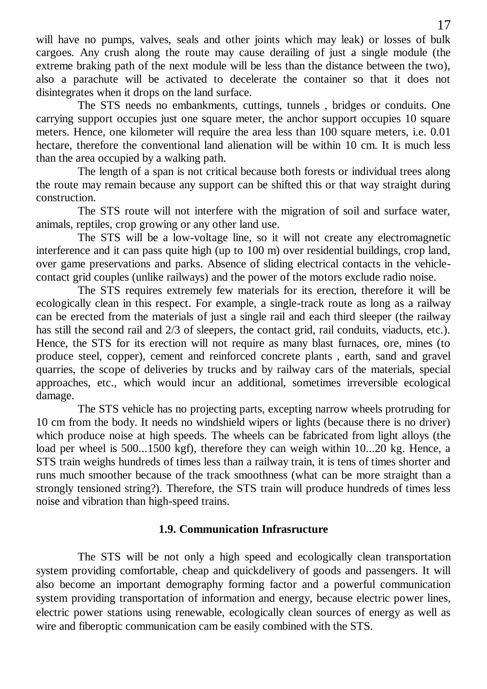will have no pumps, valves, seals and other joints which may leak) or losses of bulk cargoes. Any crush along the route may cause derailing of just a single module (the extreme braking path of the next module will be less than the distance between the two), also a parachute will be activated to decelerate the container so that it does not disintegrates when it drops on the land surface.

The STS needs no embankments, cuttings, tunnels , bridges or conduits. One carrying support occupies just one square meter, the anchor support occupies 10 square meters. Hence, one kilometer will require the area less than 100 square meters, i.e. 0.01 hectare, therefore the conventional land alienation will be within 10 cm. It is much less than the area occupied by a walking path.

The length of a span is not critical because both forests or individual trees along the route may remain because any support can be shifted this or that way straight during construction.

The STS route will not interfere with the migration of soil and surface water, animals, reptiles, crop growing or any other land use.

The STS will be a low-voltage line, so it will not create any electromagnetic interference and it can pass quite high (up to 100 m) over residential buildings, crop land, over game preservations and parks. Absence of sliding electrical contacts in the vehiclecontact grid couples (unlike railways) and the power of the motors exclude radio noise.

The STS requires extremely few materials for its erection, therefore it will be ecologically clean in this respect. For example, a single-track route as long as a railway can be erected from the materials of just a single rail and each third sleeper (the railway has still the second rail and  $2/3$  of sleepers, the contact grid, rail conduits, viaducts, etc.). Hence, the STS for its erection will not require as many blast furnaces, ore, mines (to produce steel, copper), cement and reinforced concrete plants , earth, sand and gravel quarries, the scope of deliveries by trucks and by railway cars of the materials, special approaches, etc., which would incur an additional, sometimes irreversible ecological damage.

The STS vehicle has no projecting parts, excepting narrow wheels protruding for 10 cm from the body. It needs no windshield wipers or lights (because there is no driver) which produce noise at high speeds. The wheels can be fabricated from light alloys (the load per wheel is 500...1500 kgf), therefore they can weigh within 10...20 kg. Hence, a STS train weighs hundreds of times less than a railway train, it is tens of times shorter and runs much smoother because of the track smoothness (what can be more straight than a strongly tensioned string?). Therefore, the STS train will produce hundreds of times less noise and vibration than high-speed trains.

#### **1.9. Communication Infrasructure**

The STS will be not only a high speed and ecologically clean transportation system providing comfortable, cheap and quickdelivery of goods and passengers. It will also become an important demography forming factor and a powerful communication system providing transportation of information and energy, because electric power lines, electric power stations using renewable, ecologically clean sources of energy as well as wire and fiberoptic communication cam be easily combined with the STS.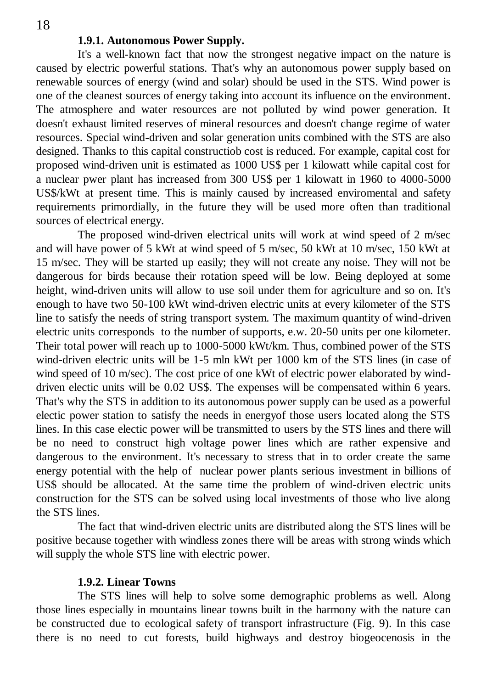#### **1.9.1. Autonomous Power Supply.**

It's a well-known fact that now the strongest negative impact on the nature is caused by electric powerful stations. That's why an autonomous power supply based on renewable sources of energy (wind and solar) should be used in the STS. Wind power is one of the cleanest sources of energy taking into account its influence on the environment. The atmosphere and water resources are not polluted by wind power generation. It doesn't exhaust limited reserves of mineral resources and doesn't change regime of water resources. Special wind-driven and solar generation units combined with the STS are also designed. Thanks to this capital constructiob cost is reduced. For example, capital cost for proposed wind-driven unit is estimated as 1000 US\$ per 1 kilowatt while capital cost for a nuclear pwer plant has increased from 300 US\$ per 1 kilowatt in 1960 to 4000-5000 US\$/kWt at present time. This is mainly caused by increased enviromental and safety requirements primordially, in the future they will be used more often than traditional sources of electrical energy.

The proposed wind-driven electrical units will work at wind speed of 2 m/sec and will have power of 5 kWt at wind speed of 5 m/sec, 50 kWt at 10 m/sec, 150 kWt at 15 m/sec. They will be started up easily; they will not create any noise. They will not be dangerous for birds because their rotation speed will be low. Being deployed at some height, wind-driven units will allow to use soil under them for agriculture and so on. It's enough to have two 50-100 kWt wind-driven electric units at every kilometer of the STS line to satisfy the needs of string transport system. The maximum quantity of wind-driven electric units corresponds to the number of supports, e.w. 20-50 units per one kilometer. Their total power will reach up to 1000-5000 kWt/km. Thus, combined power of the STS wind-driven electric units will be 1-5 mln kWt per 1000 km of the STS lines (in case of wind speed of 10 m/sec). The cost price of one kWt of electric power elaborated by winddriven electic units will be 0.02 US\$. The expenses will be compensated within 6 years. That's why the STS in addition to its autonomous power supply can be used as a powerful electic power station to satisfy the needs in energyof those users located along the STS lines. In this case electic power will be transmitted to users by the STS lines and there will be no need to construct high voltage power lines which are rather expensive and dangerous to the environment. It's necessary to stress that in to order create the same energy potential with the help of nuclear power plants serious investment in billions of US\$ should be allocated. At the same time the problem of wind-driven electric units construction for the STS can be solved using local investments of those who live along the STS lines.

The fact that wind-driven electric units are distributed along the STS lines will be positive because together with windless zones there will be areas with strong winds which will supply the whole STS line with electric power.

#### **1.9.2. Linear Towns**

The STS lines will help to solve some demographic problems as well. Along those lines especially in mountains linear towns built in the harmony with the nature can be constructed due to ecological safety of transport infrastructure (Fig. 9). In this case there is no need to cut forests, build highways and destroy biogeocenosis in the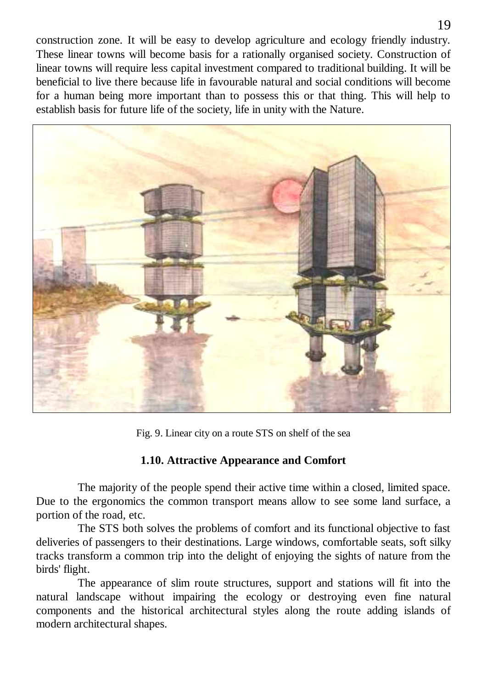construction zone. It will be easy to develop agriculture and ecology friendly industry. These linear towns will become basis for a rationally organised society. Construction of linear towns will require less capital investment compared to traditional building. It will be beneficial to live there because life in favourable natural and social conditions will become for a human being more important than to possess this or that thing. This will help to establish basis for future life of the society, life in unity with the Nature.



Fig. 9. Linear city on a route STS on shelf of the sea

## **1.10. Attractive Appearance and Comfort**

The majority of the people spend their active time within a closed, limited space. Due to the ergonomics the common transport means allow to see some land surface, a portion of the road, etc.

The STS both solves the problems of comfort and its functional objective to fast deliveries of passengers to their destinations. Large windows, comfortable seats, soft silky tracks transform a common trip into the delight of enjoying the sights of nature from the birds' flight.

The appearance of slim route structures, support and stations will fit into the natural landscape without impairing the ecology or destroying even fine natural components and the historical architectural styles along the route adding islands of modern architectural shapes.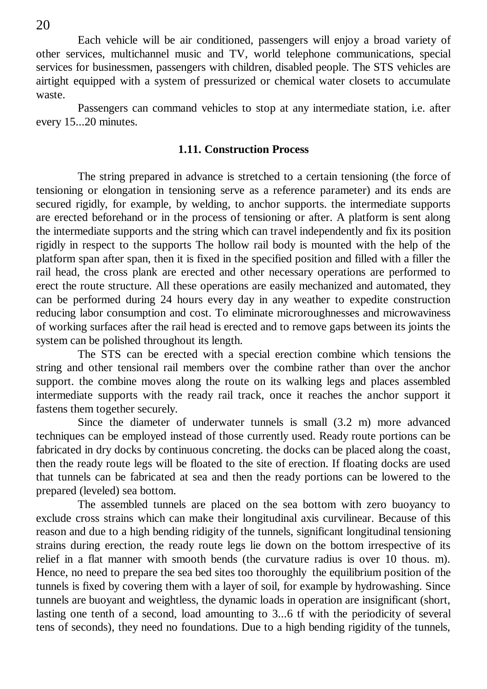Each vehicle will be air conditioned, passengers will enjoy a broad variety of other services, multichannel music and TV, world telephone communications, special services for businessmen, passengers with children, disabled people. The STS vehicles are airtight equipped with a system of pressurized or chemical water closets to accumulate waste.

Passengers can command vehicles to stop at any intermediate station, i.e. after every 15...20 minutes.

#### **1.11. Construction Process**

The string prepared in advance is stretched to a certain tensioning (the force of tensioning or elongation in tensioning serve as a reference parameter) and its ends are secured rigidly, for example, by welding, to anchor supports. the intermediate supports are erected beforehand or in the process of tensioning or after. A platform is sent along the intermediate supports and the string which can travel independently and fix its position rigidly in respect to the supports The hollow rail body is mounted with the help of the platform span after span, then it is fixed in the specified position and filled with a filler the rail head, the cross plank are erected and other necessary operations are performed to erect the route structure. All these operations are easily mechanized and automated, they can be performed during 24 hours every day in any weather to expedite construction reducing labor consumption and cost. To eliminate microroughnesses and microwaviness of working surfaces after the rail head is erected and to remove gaps between its joints the system can be polished throughout its length.

The STS can be erected with a special erection combine which tensions the string and other tensional rail members over the combine rather than over the anchor support. the combine moves along the route on its walking legs and places assembled intermediate supports with the ready rail track, once it reaches the anchor support it fastens them together securely.

Since the diameter of underwater tunnels is small (3.2 m) more advanced techniques can be employed instead of those currently used. Ready route portions can be fabricated in dry docks by continuous concreting. the docks can be placed along the coast, then the ready route legs will be floated to the site of erection. If floating docks are used that tunnels can be fabricated at sea and then the ready portions can be lowered to the prepared (leveled) sea bottom.

The assembled tunnels are placed on the sea bottom with zero buoyancy to exclude cross strains which can make their longitudinal axis curvilinear. Because of this reason and due to a high bending ridigity of the tunnels, significant longitudinal tensioning strains during erection, the ready route legs lie down on the bottom irrespective of its relief in a flat manner with smooth bends (the curvature radius is over 10 thous. m). Hence, no need to prepare the sea bed sites too thoroughly the equilibrium position of the tunnels is fixed by covering them with a layer of soil, for example by hydrowashing. Since tunnels are buoyant and weightless, the dynamic loads in operation are insignificant (short, lasting one tenth of a second, load amounting to 3...6 tf with the periodicity of several tens of seconds), they need no foundations. Due to a high bending rigidity of the tunnels,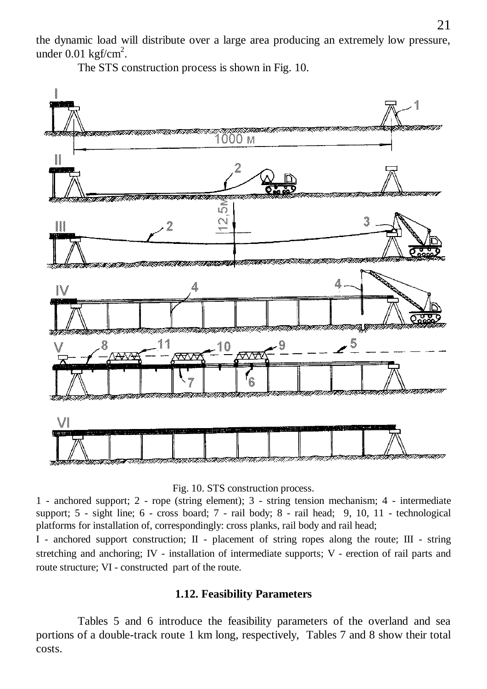the dynamic load will distribute over a large area producing an extremely low pressure, under  $0.01 \text{ kgf/cm}^2$ .

The STS construction process is shown in Fig. 10.





1 - anchored support; 2 - rope (string element); 3 - string tension mechanism; 4 - intermediate support; 5 - sight line; 6 - cross board; 7 - rail body; 8 - rail head; 9, 10, 11 - technological platforms for installation of, correspondingly: cross planks, rail body and rail head;

I - anchored support construction; II - placement of string ropes along the route; III - string stretching and anchoring; IV - installation of intermediate supports; V - erection of rail parts and route structure; VI - constructed part of the route.

#### **1.12. Feasibility Parameters**

Tables 5 and 6 introduce the feasibility parameters of the overland and sea portions of a double-track route 1 km long, respectively, Tables 7 and 8 show their total costs.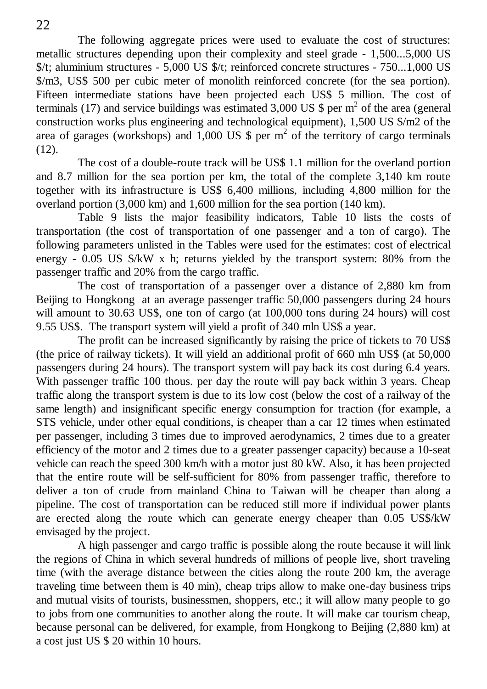The following aggregate prices were used to evaluate the cost of structures: metallic structures depending upon their complexity and steel grade - 1,500...5,000 US \$/t; aluminium structures - 5,000 US \$/t; reinforced concrete structures - 750...1,000 US \$/m3, US\$ 500 per cubic meter of monolith reinforced concrete (for the sea portion). Fifteen intermediate stations have been projected each US\$ 5 million. The cost of terminals (17) and service buildings was estimated 3,000 US  $\$  per m<sup>2</sup> of the area (general construction works plus engineering and technological equipment), 1,500 US \$/m2 of the area of garages (workshops) and 1,000 US  $\frac{1}{2}$  per m<sup>2</sup> of the territory of cargo terminals  $(12)$ .

The cost of a double-route track will be US\$ 1.1 million for the overland portion and 8.7 million for the sea portion per km, the total of the complete 3,140 km route together with its infrastructure is US\$ 6,400 millions, including 4,800 million for the overland portion (3,000 km) and 1,600 million for the sea portion (140 km).

Table 9 lists the major feasibility indicators, Table 10 lists the costs of transportation (the cost of transportation of one passenger and a ton of cargo). The following parameters unlisted in the Tables were used for the estimates: cost of electrical energy - 0.05 US  $\frac{1}{2}$  W x h; returns yielded by the transport system: 80% from the passenger traffic and 20% from the cargo traffic.

The cost of transportation of a passenger over a distance of 2,880 km from Beijing to Hongkong at an average passenger traffic 50,000 passengers during 24 hours will amount to 30.63 US\$, one ton of cargo (at 100,000 tons during 24 hours) will cost 9.55 US\$. The transport system will yield a profit of 340 mln US\$ a year.

The profit can be increased significantly by raising the price of tickets to 70 US\$ (the price of railway tickets). It will yield an additional profit of 660 mln US\$ (at 50,000 passengers during 24 hours). The transport system will pay back its cost during 6.4 years. With passenger traffic 100 thous. per day the route will pay back within 3 years. Cheap traffic along the transport system is due to its low cost (below the cost of a railway of the same length) and insignificant specific energy consumption for traction (for example, a STS vehicle, under other equal conditions, is cheaper than a car 12 times when estimated per passenger, including 3 times due to improved aerodynamics, 2 times due to a greater efficiency of the motor and 2 times due to a greater passenger capacity) because a 10-seat vehicle can reach the speed 300 km/h with a motor just 80 kW. Also, it has been projected that the entire route will be self-sufficient for 80% from passenger traffic, therefore to deliver a ton of crude from mainland China to Taiwan will be cheaper than along a pipeline. The cost of transportation can be reduced still more if individual power plants are erected along the route which can generate energy cheaper than 0.05 US\$/kW envisaged by the project.

A high passenger and cargo traffic is possible along the route because it will link the regions of China in which several hundreds of millions of people live, short traveling time (with the average distance between the cities along the route 200 km, the average traveling time between them is 40 min), cheap trips allow to make one-day business trips and mutual visits of tourists, businessmen, shoppers, etc.; it will allow many people to go to jobs from one communities to another along the route. It will make car tourism cheap, because personal can be delivered, for example, from Hongkong to Beijing (2,880 km) at a cost just US \$ 20 within 10 hours.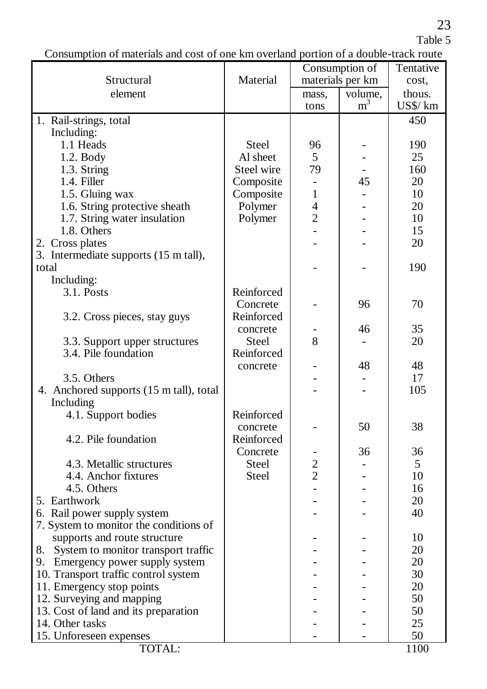23

Table 5

Consumption of materials and cost of one km overland portion of a double-track route

|                                         |              |                | Consumption of   | Tentative |
|-----------------------------------------|--------------|----------------|------------------|-----------|
| Structural                              | Material     |                | materials per km | cost.     |
| element                                 |              | mass.          | volume,          | thous.    |
|                                         |              | tons           | m <sup>3</sup>   | US\$/ km  |
|                                         |              |                |                  |           |
| 1. Rail-strings, total                  |              |                |                  | 450       |
| Including:                              |              |                |                  |           |
| 1.1 Heads                               | <b>Steel</b> | 96             |                  | 190       |
| 1.2. Body                               | Al sheet     | 5              |                  | 25        |
| 1.3. String                             | Steel wire   | 79             |                  | 160       |
| 1.4. Filler                             | Composite    |                | 45               | 20        |
| 1.5. Gluing wax                         | Composite    | 1              |                  | 10        |
| 1.6. String protective sheath           | Polymer      | 4              |                  | 20        |
| 1.7. String water insulation            | Polymer      | $\overline{2}$ |                  | 10        |
| 1.8. Others                             |              |                |                  | 15        |
| 2. Cross plates                         |              |                |                  | 20        |
| 3. Intermediate supports (15 m tall),   |              |                |                  |           |
| total                                   |              |                |                  | 190       |
| Including:                              |              |                |                  |           |
| 3.1. Posts                              | Reinforced   |                |                  |           |
|                                         | Concrete     |                | 96               | 70        |
| 3.2. Cross pieces, stay guys            | Reinforced   |                |                  |           |
|                                         | concrete     |                | 46               | 35        |
| 3.3. Support upper structures           | Steel        | 8              |                  | 20        |
| 3.4. Pile foundation                    | Reinforced   |                |                  |           |
|                                         | concrete     |                | 48               | 48        |
| 3.5. Others                             |              |                |                  | 17        |
| 4. Anchored supports (15 m tall), total |              |                |                  | 105       |
| Including                               |              |                |                  |           |
| 4.1. Support bodies                     | Reinforced   |                |                  |           |
|                                         |              |                | 50               | 38        |
| 4.2. Pile foundation                    | concrete     |                |                  |           |
|                                         | Reinforced   |                |                  |           |
|                                         | Concrete     |                | 36               | 36        |
| 4.3. Metallic structures                | Steel        | $\overline{2}$ |                  | 5         |
| 4.4. Anchor fixtures                    | Steel        | $\overline{2}$ |                  | 10        |
| 4.5. Others                             |              |                |                  | 16        |
| 5. Earthwork                            |              |                |                  | 20        |
| 6. Rail power supply system             |              |                |                  | 40        |
| 7. System to monitor the conditions of  |              |                |                  |           |
| supports and route structure            |              |                |                  | 10        |
| 8. System to monitor transport traffic  |              |                |                  | 20        |
| 9. Emergency power supply system        |              |                |                  | 20        |
| 10. Transport traffic control system    |              |                |                  | 30        |
| 11. Emergency stop points               |              |                |                  | 20        |
| 12. Surveying and mapping               |              |                |                  | 50        |
| 13. Cost of land and its preparation    |              |                |                  | 50        |
| 14. Other tasks                         |              |                |                  | 25        |
| 15. Unforeseen expenses                 |              |                |                  | 50        |
| TOTAL:                                  |              |                |                  | 1100      |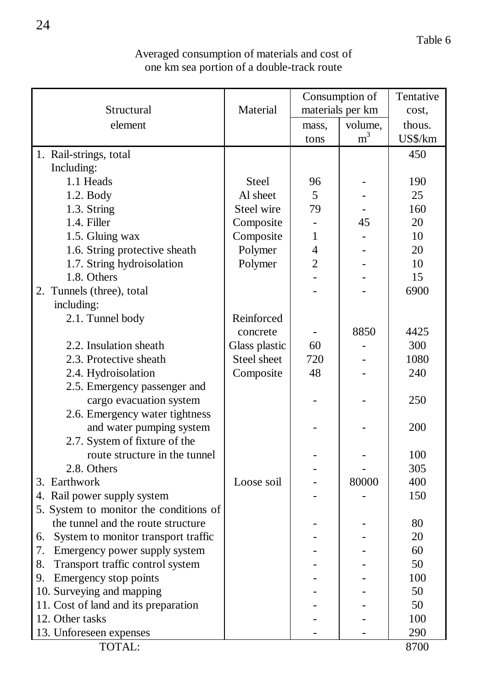| Averaged consumption of materials and cost of |  |
|-----------------------------------------------|--|
| one km sea portion of a double-track route    |  |

|    |                                        |               |                          | Consumption of   | Tentative |
|----|----------------------------------------|---------------|--------------------------|------------------|-----------|
|    | Structural                             | Material      |                          | materials per km | cost.     |
|    | element                                |               | mass,                    | volume,          | thous.    |
|    |                                        |               | tons                     | $\rm m^3$        | US\$/km   |
|    | 1. Rail-strings, total                 |               |                          |                  | 450       |
|    | Including:                             |               |                          |                  |           |
|    | 1.1 Heads                              | Steel         | 96                       |                  | 190       |
|    | 1.2. Body                              | Al sheet      | 5                        |                  | 25        |
|    | 1.3. String                            | Steel wire    | 79                       |                  | 160       |
|    | 1.4. Filler                            | Composite     | $\overline{\phantom{0}}$ | 45               | 20        |
|    | 1.5. Gluing wax                        | Composite     | 1                        |                  | 10        |
|    | 1.6. String protective sheath          | Polymer       | 4                        |                  | 20        |
|    | 1.7. String hydroisolation             | Polymer       | $\overline{2}$           |                  | 10        |
|    | 1.8. Others                            |               |                          |                  | 15        |
|    | 2. Tunnels (three), total              |               |                          |                  | 6900      |
|    | including:                             |               |                          |                  |           |
|    | 2.1. Tunnel body                       | Reinforced    |                          |                  |           |
|    |                                        | concrete      |                          | 8850             | 4425      |
|    | 2.2. Insulation sheath                 | Glass plastic | 60                       |                  | 300       |
|    | 2.3. Protective sheath                 | Steel sheet   | 720                      |                  | 1080      |
|    | 2.4. Hydroisolation                    | Composite     | 48                       |                  | 240       |
|    | 2.5. Emergency passenger and           |               |                          |                  |           |
|    | cargo evacuation system                |               | ۳                        |                  | 250       |
|    | 2.6. Emergency water tightness         |               |                          |                  |           |
|    | and water pumping system               |               |                          |                  | 200       |
|    | 2.7. System of fixture of the          |               |                          |                  |           |
|    | route structure in the tunnel          |               |                          |                  | 100       |
|    | 2.8. Others                            |               |                          |                  | 305       |
|    | 3. Earthwork                           | Loose soil    |                          | 80000            | 400       |
|    | 4. Rail power supply system            |               |                          |                  | 150       |
|    | 5. System to monitor the conditions of |               |                          |                  |           |
|    | the tunnel and the route structure     |               |                          |                  | 80        |
|    | 6. System to monitor transport traffic |               |                          |                  | 20        |
| 7. | Emergency power supply system          |               |                          |                  | 60        |
| 8. | Transport traffic control system       |               |                          |                  | 50        |
| 9. | Emergency stop points                  |               |                          |                  | 100       |
|    | 10. Surveying and mapping              |               |                          |                  | 50        |
|    | 11. Cost of land and its preparation   |               |                          |                  | 50        |
|    | 12. Other tasks                        |               |                          |                  | 100       |
|    | 13. Unforeseen expenses                |               |                          |                  | 290       |
|    | TOTAL:                                 |               |                          |                  | 8700      |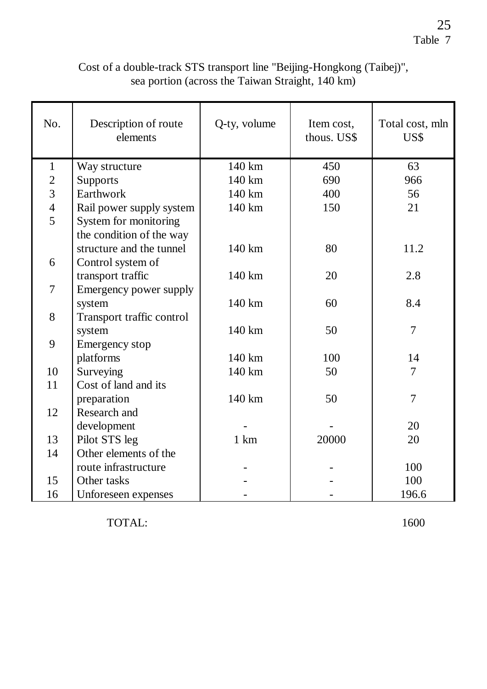| Cost of a double-track STS transport line "Beijing-Hongkong (Taibej)", |  |
|------------------------------------------------------------------------|--|
| sea portion (across the Taiwan Straight, 140 km)                       |  |

| No.                     | Description of route<br>elements | Q-ty, volume     | Item cost,<br>thous. US\$ | Total cost, mln<br>US\$ |
|-------------------------|----------------------------------|------------------|---------------------------|-------------------------|
| 1                       | Way structure                    | $140 \text{ km}$ | 450                       | 63                      |
| $\overline{c}$          | Supports                         | $140 \text{ km}$ | 690                       | 966                     |
| $\overline{\mathbf{3}}$ | Earthwork                        | $140 \text{ km}$ | 400                       | 56                      |
| $\overline{4}$          | Rail power supply system         | $140 \text{ km}$ | 150                       | 21                      |
| $\overline{5}$          | System for monitoring            |                  |                           |                         |
|                         | the condition of the way         |                  |                           |                         |
|                         | structure and the tunnel         | 140 km           | 80                        | 11.2                    |
| 6                       | Control system of                |                  |                           |                         |
|                         | transport traffic                | $140 \text{ km}$ | 20                        | 2.8                     |
| $\overline{7}$          | Emergency power supply           |                  |                           |                         |
|                         | system                           | 140 km           | 60                        | 8.4                     |
| 8                       | Transport traffic control        |                  |                           |                         |
|                         | system                           | $140 \text{ km}$ | 50                        | 7                       |
| 9                       | Emergency stop                   |                  |                           |                         |
|                         | platforms                        | $140 \text{ km}$ | 100                       | 14                      |
| 10                      | Surveying                        | $140 \text{ km}$ | 50                        | 7                       |
| 11                      | Cost of land and its             |                  |                           |                         |
|                         | preparation                      | 140 km           | 50                        | 7                       |
| 12                      | Research and                     |                  |                           |                         |
|                         | development                      |                  |                           | 20                      |
| 13                      | Pilot STS leg                    | 1 km             | 20000                     | 20                      |
| 14                      | Other elements of the            |                  |                           |                         |
|                         | route infrastructure             |                  |                           | 100                     |
| 15                      | Other tasks                      |                  |                           | 100                     |
| 16                      | Unforeseen expenses              |                  |                           | 196.6                   |

TOTAL: 1600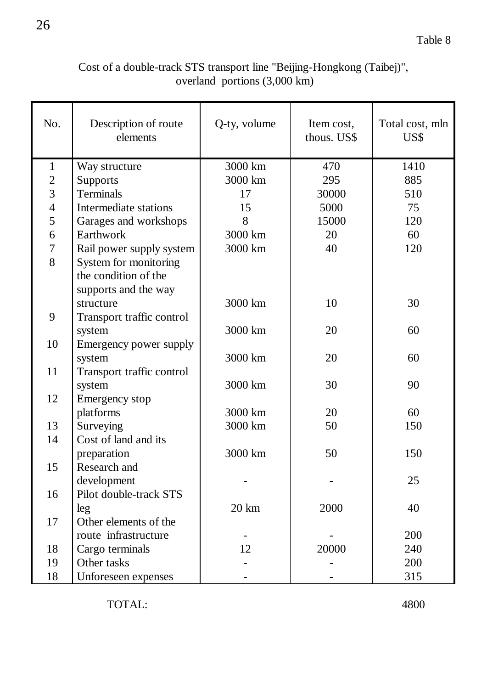## Cost of a double-track STS transport line "Beijing-Hongkong (Taibej)", overland portions (3,000 km)

| No.            | Description of route<br>elements              | Q-ty, volume    | Item cost,<br>thous. US\$ | Total cost, mln<br>US\$ |  |
|----------------|-----------------------------------------------|-----------------|---------------------------|-------------------------|--|
| $\mathbf{1}$   | Way structure                                 | 3000 km         | 470                       | 1410                    |  |
| $\overline{c}$ | Supports                                      | 3000 km<br>295  |                           | 885                     |  |
| $\overline{3}$ | Terminals                                     | 17              | 30000                     | 510                     |  |
| $\overline{4}$ | Intermediate stations                         | 15<br>5000      |                           | 75                      |  |
| 5              | Garages and workshops                         | 8<br>15000      |                           | 120                     |  |
| 6              | Earthwork                                     | 3000 km         | 20                        |                         |  |
| $\overline{7}$ | Rail power supply system                      | 3000 km         | 40                        | 120                     |  |
| 8              | System for monitoring<br>the condition of the |                 |                           |                         |  |
|                | supports and the way                          |                 |                           |                         |  |
|                | structure                                     | 3000 km         | 10                        | 30                      |  |
| 9              | Transport traffic control                     |                 |                           |                         |  |
|                | system                                        | 3000 km         | 20                        | 60                      |  |
| 10             | Emergency power supply                        |                 |                           |                         |  |
|                | system                                        | 3000 km         | 20                        | 60                      |  |
| 11             | Transport traffic control                     |                 |                           |                         |  |
|                | system                                        | 3000 km         | 30                        | 90                      |  |
| 12             | Emergency stop                                |                 |                           |                         |  |
|                | platforms                                     | 3000 km         | 20                        | 60                      |  |
| 13             | Surveying                                     | 3000 km         | 50                        | 150                     |  |
| 14             | Cost of land and its                          |                 |                           |                         |  |
|                | preparation                                   | 3000 km         | 50                        | 150                     |  |
| 15             | Research and                                  |                 |                           |                         |  |
|                | development                                   |                 |                           | 25                      |  |
| 16             | Pilot double-track STS                        |                 |                           |                         |  |
|                | leg                                           | $20 \text{ km}$ | 2000                      | 40                      |  |
| 17             | Other elements of the                         |                 |                           |                         |  |
|                | route infrastructure                          |                 |                           | 200                     |  |
| 18             | Cargo terminals                               | 12              | 20000                     | 240                     |  |
| 19             | Other tasks                                   |                 |                           | 200                     |  |
| 18             | Unforeseen expenses                           |                 |                           | 315                     |  |

TOTAL: 4800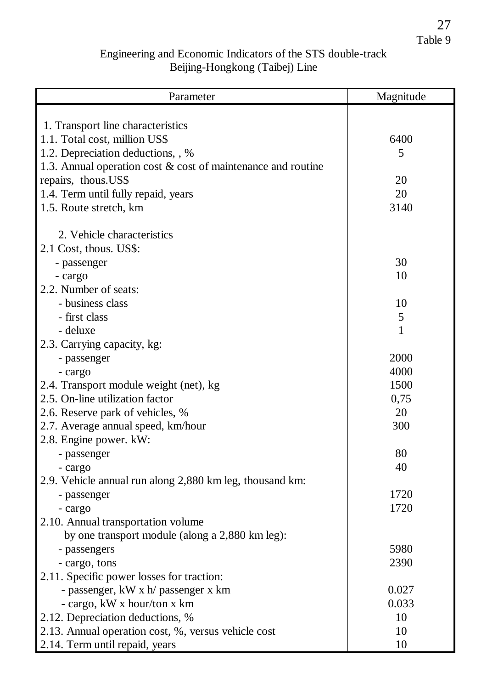27 Table 9

## Engineering and Economic Indicators of the STS double-track Beijing-Hongkong (Taibej) Line

| Parameter                                                       | Magnitude |
|-----------------------------------------------------------------|-----------|
|                                                                 |           |
| 1. Transport line characteristics                               |           |
| 1.1. Total cost, million US\$                                   | 6400      |
| 1.2. Depreciation deductions, , %                               | 5         |
| 1.3. Annual operation cost $\&$ cost of maintenance and routine |           |
| repairs, thous.US\$                                             | 20        |
| 1.4. Term until fully repaid, years                             | 20        |
| 1.5. Route stretch, km                                          | 3140      |
|                                                                 |           |
| 2. Vehicle characteristics                                      |           |
| 2.1 Cost, thous. US\$:                                          |           |
| - passenger                                                     | 30        |
| - cargo                                                         | 10        |
| 2.2. Number of seats:                                           |           |
| - business class                                                | 10        |
| - first class                                                   | 5         |
| - deluxe                                                        | 1         |
| 2.3. Carrying capacity, kg:                                     |           |
| - passenger                                                     | 2000      |
| - cargo                                                         | 4000      |
| 2.4. Transport module weight (net), kg                          | 1500      |
| 2.5. On-line utilization factor                                 | 0,75      |
| 2.6. Reserve park of vehicles, %                                | 20        |
| 2.7. Average annual speed, km/hour                              | 300       |
| 2.8. Engine power. kW:                                          |           |
| - passenger                                                     | 80        |
| - cargo                                                         | 40        |
| 2.9. Vehicle annual run along 2,880 km leg, thousand km:        |           |
| - passenger                                                     | 1720      |
| - cargo                                                         | 1720      |
| 2.10. Annual transportation volume                              |           |
| by one transport module (along a 2,880 km leg):                 |           |
| - passengers                                                    | 5980      |
| - cargo, tons                                                   | 2390      |
| 2.11. Specific power losses for traction:                       |           |
| - passenger, kW x h/ passenger x km                             | 0.027     |
| - cargo, kW x hour/ton x km                                     | 0.033     |
| 2.12. Depreciation deductions, %                                | 10        |
| 2.13. Annual operation cost, %, versus vehicle cost             | 10        |
| 2.14. Term until repaid, years                                  | 10        |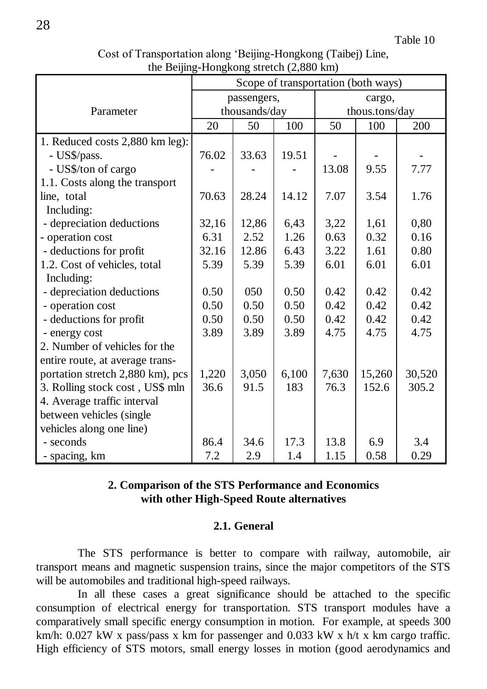| Cost of Transportation along 'Beijing-Hongkong (Taibej) Line, |  |  |  |  |  |  |
|---------------------------------------------------------------|--|--|--|--|--|--|
| the Beijing-Hongkong stretch $(2,880 \text{ km})$             |  |  |  |  |  |  |

|                                  | Scope of transportation (both ways) |       |        |                |        |        |  |
|----------------------------------|-------------------------------------|-------|--------|----------------|--------|--------|--|
|                                  | passengers,                         |       | cargo, |                |        |        |  |
| Parameter                        | thousands/day                       |       |        | thous.tons/day |        |        |  |
|                                  | 20                                  | 50    | 100    | 50             | 100    | 200    |  |
| 1. Reduced costs 2,880 km leg):  |                                     |       |        |                |        |        |  |
| - US\$/pass.                     | 76.02                               | 33.63 | 19.51  |                |        |        |  |
| - US\$/ton of cargo              |                                     |       |        | 13.08          | 9.55   | 7.77   |  |
| 1.1. Costs along the transport   |                                     |       |        |                |        |        |  |
| line, total                      | 70.63                               | 28.24 | 14.12  | 7.07           | 3.54   | 1.76   |  |
| Including:                       |                                     |       |        |                |        |        |  |
| - depreciation deductions        | 32,16                               | 12,86 | 6,43   | 3,22           | 1,61   | 0,80   |  |
| - operation cost                 | 6.31                                | 2.52  | 1.26   | 0.63           | 0.32   | 0.16   |  |
| - deductions for profit          | 32.16                               | 12.86 | 6.43   | 3.22           | 1.61   | 0.80   |  |
| 1.2. Cost of vehicles, total     | 5.39                                | 5.39  | 5.39   | 6.01           | 6.01   | 6.01   |  |
| Including:                       |                                     |       |        |                |        |        |  |
| - depreciation deductions        | 0.50                                | 050   | 0.50   | 0.42           | 0.42   | 0.42   |  |
| - operation cost                 | 0.50                                | 0.50  | 0.50   | 0.42           | 0.42   | 0.42   |  |
| - deductions for profit          | 0.50                                | 0.50  | 0.50   | 0.42           | 0.42   | 0.42   |  |
| - energy cost                    | 3.89                                | 3.89  | 3.89   | 4.75           | 4.75   | 4.75   |  |
| 2. Number of vehicles for the    |                                     |       |        |                |        |        |  |
| entire route, at average trans-  |                                     |       |        |                |        |        |  |
| portation stretch 2,880 km), pcs | 1,220                               | 3,050 | 6,100  | 7,630          | 15,260 | 30,520 |  |
| 3. Rolling stock cost, US\$ mln  | 36.6                                | 91.5  | 183    | 76.3           | 152.6  | 305.2  |  |
| 4. Average traffic interval      |                                     |       |        |                |        |        |  |
| between vehicles (single         |                                     |       |        |                |        |        |  |
| vehicles along one line)         |                                     |       |        |                |        |        |  |
| - seconds                        | 86.4                                | 34.6  | 17.3   | 13.8           | 6.9    | 3.4    |  |
| - spacing, km                    | 7.2                                 | 2.9   | 1.4    | 1.15           | 0.58   | 0.29   |  |

## **2. Comparison of the STS Performance and Economics with other High-Speed Route alternatives**

#### **2.1. General**

The STS performance is better to compare with railway, automobile, air transport means and magnetic suspension trains, since the major competitors of the STS will be automobiles and traditional high-speed railways.

In all these cases a great significance should be attached to the specific consumption of electrical energy for transportation. STS transport modules have a comparatively small specific energy consumption in motion. For example, at speeds 300 km/h: 0.027 kW x pass/pass x km for passenger and 0.033 kW x h/t x km cargo traffic. High efficiency of STS motors, small energy losses in motion (good aerodynamics and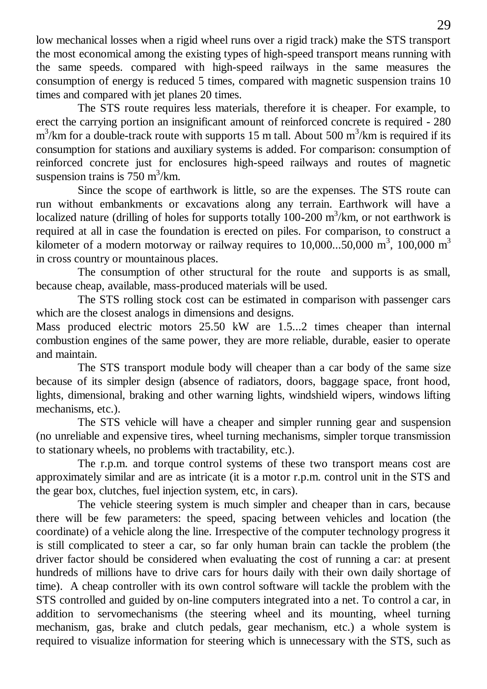low mechanical losses when a rigid wheel runs over a rigid track) make the STS transport the most economical among the existing types of high-speed transport means running with the same speeds. compared with high-speed railways in the same measures the consumption of energy is reduced 5 times, compared with magnetic suspension trains 10 times and compared with jet planes 20 times.

The STS route requires less materials, therefore it is cheaper. For example, to erect the carrying portion an insignificant amount of reinforced concrete is required - 280  $\text{m}^3/\text{km}$  for a double-track route with supports 15 m tall. About 500  $\text{m}^3/\text{km}$  is required if its consumption for stations and auxiliary systems is added. For comparison: consumption of reinforced concrete just for enclosures high-speed railways and routes of magnetic suspension trains is  $750 \text{ m}^3/\text{km}$ .

Since the scope of earthwork is little, so are the expenses. The STS route can run without embankments or excavations along any terrain. Earthwork will have a localized nature (drilling of holes for supports totally  $100-200$  m<sup>3</sup>/km, or not earthwork is required at all in case the foundation is erected on piles. For comparison, to construct a kilometer of a modern motorway or railway requires to  $10,000...50,000$  m<sup>3</sup>,  $100,000$  m<sup>3</sup> in cross country or mountainous places.

The consumption of other structural for the route and supports is as small, because cheap, available, mass-produced materials will be used.

The STS rolling stock cost can be estimated in comparison with passenger cars which are the closest analogs in dimensions and designs.

Mass produced electric motors 25.50 kW are 1.5...2 times cheaper than internal combustion engines of the same power, they are more reliable, durable, easier to operate and maintain.

The STS transport module body will cheaper than a car body of the same size because of its simpler design (absence of radiators, doors, baggage space, front hood, lights, dimensional, braking and other warning lights, windshield wipers, windows lifting mechanisms, etc.).

The STS vehicle will have a cheaper and simpler running gear and suspension (no unreliable and expensive tires, wheel turning mechanisms, simpler torque transmission to stationary wheels, no problems with tractability, etc.).

The r.p.m. and torque control systems of these two transport means cost are approximately similar and are as intricate (it is a motor r.p.m. control unit in the STS and the gear box, clutches, fuel injection system, etc, in cars).

The vehicle steering system is much simpler and cheaper than in cars, because there will be few parameters: the speed, spacing between vehicles and location (the coordinate) of a vehicle along the line. Irrespective of the computer technology progress it is still complicated to steer a car, so far only human brain can tackle the problem (the driver factor should be considered when evaluating the cost of running a car: at present hundreds of millions have to drive cars for hours daily with their own daily shortage of time). A cheap controller with its own control software will tackle the problem with the STS controlled and guided by on-line computers integrated into a net. To control a car, in addition to servomechanisms (the steering wheel and its mounting, wheel turning mechanism, gas, brake and clutch pedals, gear mechanism, etc.) a whole system is required to visualize information for steering which is unnecessary with the STS, such as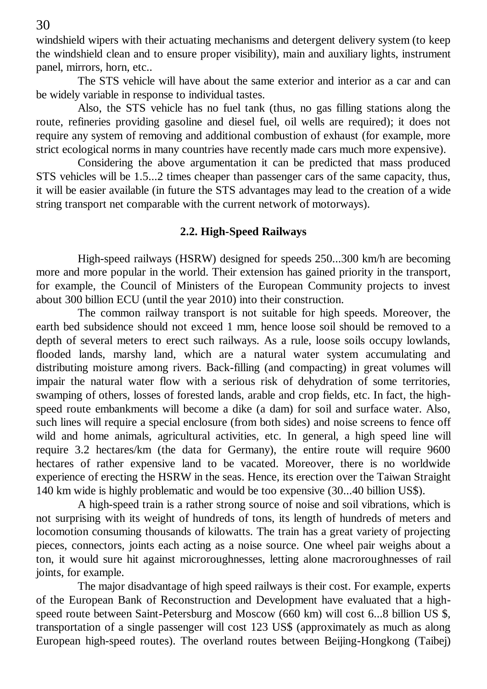windshield wipers with their actuating mechanisms and detergent delivery system (to keep the windshield clean and to ensure proper visibility), main and auxiliary lights, instrument panel, mirrors, horn, etc..

The STS vehicle will have about the same exterior and interior as a car and can be widely variable in response to individual tastes.

Also, the STS vehicle has no fuel tank (thus, no gas filling stations along the route, refineries providing gasoline and diesel fuel, oil wells are required); it does not require any system of removing and additional combustion of exhaust (for example, more strict ecological norms in many countries have recently made cars much more expensive).

Considering the above argumentation it can be predicted that mass produced STS vehicles will be 1.5...2 times cheaper than passenger cars of the same capacity, thus, it will be easier available (in future the STS advantages may lead to the creation of a wide string transport net comparable with the current network of motorways).

#### **2.2. High-Speed Railways**

High-speed railways (HSRW) designed for speeds 250...300 km/h are becoming more and more popular in the world. Their extension has gained priority in the transport, for example, the Council of Ministers of the European Community projects to invest about 300 billion ECU (until the year 2010) into their construction.

The common railway transport is not suitable for high speeds. Moreover, the earth bed subsidence should not exceed 1 mm, hence loose soil should be removed to a depth of several meters to erect such railways. As a rule, loose soils occupy lowlands, flooded lands, marshy land, which are a natural water system accumulating and distributing moisture among rivers. Back-filling (and compacting) in great volumes will impair the natural water flow with a serious risk of dehydration of some territories, swamping of others, losses of forested lands, arable and crop fields, etc. In fact, the highspeed route embankments will become a dike (a dam) for soil and surface water. Also, such lines will require a special enclosure (from both sides) and noise screens to fence off wild and home animals, agricultural activities, etc. In general, a high speed line will require 3.2 hectares/km (the data for Germany), the entire route will require 9600 hectares of rather expensive land to be vacated. Moreover, there is no worldwide experience of erecting the HSRW in the seas. Hence, its erection over the Taiwan Straight 140 km wide is highly problematic and would be too expensive (30...40 billion US\$).

A high-speed train is a rather strong source of noise and soil vibrations, which is not surprising with its weight of hundreds of tons, its length of hundreds of meters and locomotion consuming thousands of kilowatts. The train has a great variety of projecting pieces, connectors, joints each acting as a noise source. One wheel pair weighs about a ton, it would sure hit against microroughnesses, letting alone macroroughnesses of rail joints, for example.

The major disadvantage of high speed railways is their cost. For example, experts of the European Bank of Reconstruction and Development have evaluated that a highspeed route between Saint-Petersburg and Moscow (660 km) will cost 6...8 billion US \$, transportation of a single passenger will cost 123 US\$ (approximately as much as along European high-speed routes). The overland routes between Beijing-Hongkong (Taibej)

30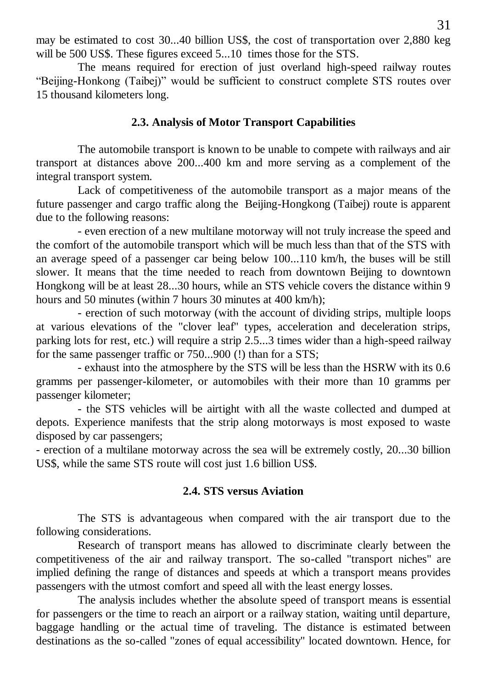may be estimated to cost 30...40 billion US\$, the cost of transportation over 2,880 keg will be 500 US\$. These figures exceed 5...10 times those for the STS.

The means required for erection of just overland high-speed railway routes "Beijing-Honkong (Taibej)" would be sufficient to construct complete STS routes over 15 thousand kilometers long.

#### **2.3. Analysis of Motor Transport Capabilities**

The automobile transport is known to be unable to compete with railways and air transport at distances above 200...400 km and more serving as a complement of the integral transport system.

Lack of competitiveness of the automobile transport as a major means of the future passenger and cargo traffic along the Beijing-Hongkong (Taibej) route is apparent due to the following reasons:

- even erection of a new multilane motorway will not truly increase the speed and the comfort of the automobile transport which will be much less than that of the STS with an average speed of a passenger car being below 100...110 km/h, the buses will be still slower. It means that the time needed to reach from downtown Beijing to downtown Hongkong will be at least 28...30 hours, while an STS vehicle covers the distance within 9 hours and 50 minutes (within 7 hours 30 minutes at 400 km/h);

- erection of such motorway (with the account of dividing strips, multiple loops at various elevations of the "clover leaf" types, acceleration and deceleration strips, parking lots for rest, etc.) will require a strip 2.5...3 times wider than a high-speed railway for the same passenger traffic or 750...900 (!) than for a STS;

- exhaust into the atmosphere by the STS will be less than the HSRW with its 0.6 gramms per passenger-kilometer, or automobiles with their more than 10 gramms per passenger kilometer;

- the STS vehicles will be airtight with all the waste collected and dumped at depots. Experience manifests that the strip along motorways is most exposed to waste disposed by car passengers;

- erection of a multilane motorway across the sea will be extremely costly, 20...30 billion US\$, while the same STS route will cost just 1.6 billion US\$.

#### **2.4. STS versus Aviation**

The STS is advantageous when compared with the air transport due to the following considerations.

Research of transport means has allowed to discriminate clearly between the competitiveness of the air and railway transport. The so-called "transport niches" are implied defining the range of distances and speeds at which a transport means provides passengers with the utmost comfort and speed all with the least energy losses.

The analysis includes whether the absolute speed of transport means is essential for passengers or the time to reach an airport or a railway station, waiting until departure, baggage handling or the actual time of traveling. The distance is estimated between destinations as the so-called "zones of equal accessibility" located downtown. Hence, for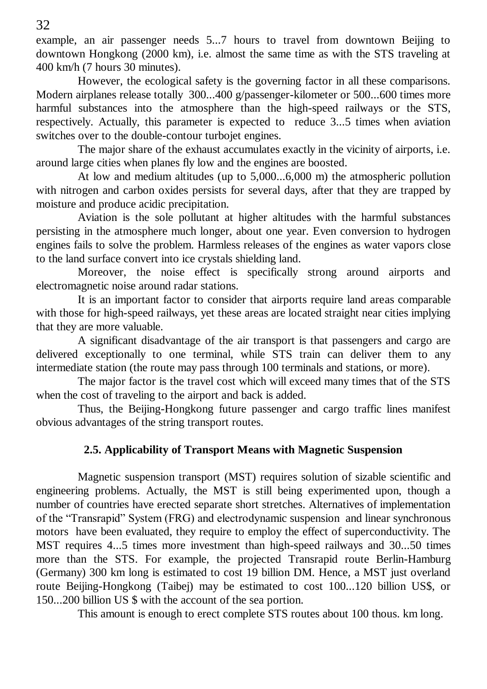example, an air passenger needs 5...7 hours to travel from downtown Beijing to downtown Hongkong (2000 km), i.e. almost the same time as with the STS traveling at 400 km/h (7 hours 30 minutes).

However, the ecological safety is the governing factor in all these comparisons. Modern airplanes release totally 300...400 g/passenger-kilometer or 500...600 times more harmful substances into the atmosphere than the high-speed railways or the STS, respectively. Actually, this parameter is expected to reduce 3...5 times when aviation switches over to the double-contour turbojet engines.

The major share of the exhaust accumulates exactly in the vicinity of airports, i.e. around large cities when planes fly low and the engines are boosted.

At low and medium altitudes (up to 5,000...6,000 m) the atmospheric pollution with nitrogen and carbon oxides persists for several days, after that they are trapped by moisture and produce acidic precipitation.

Aviation is the sole pollutant at higher altitudes with the harmful substances persisting in the atmosphere much longer, about one year. Even conversion to hydrogen engines fails to solve the problem. Harmless releases of the engines as water vapors close to the land surface convert into ice crystals shielding land.

Moreover, the noise effect is specifically strong around airports and electromagnetic noise around radar stations.

It is an important factor to consider that airports require land areas comparable with those for high-speed railways, yet these areas are located straight near cities implying that they are more valuable.

A significant disadvantage of the air transport is that passengers and cargo are delivered exceptionally to one terminal, while STS train can deliver them to any intermediate station (the route may pass through 100 terminals and stations, or more).

The major factor is the travel cost which will exceed many times that of the STS when the cost of traveling to the airport and back is added.

Thus, the Beijing-Hongkong future passenger and cargo traffic lines manifest obvious advantages of the string transport routes.

## **2.5. Applicability of Transport Means with Magnetic Suspension**

Magnetic suspension transport (MST) requires solution of sizable scientific and engineering problems. Actually, the MST is still being experimented upon, though a number of countries have erected separate short stretches. Alternatives of implementation of the "Transrapid" System (FRG) and electrodynamic suspension and linear synchronous motors have been evaluated, they require to employ the effect of superconductivity. The MST requires 4...5 times more investment than high-speed railways and 30...50 times more than the STS. For example, the projected Transrapid route Berlin-Hamburg (Germany) 300 km long is estimated to cost 19 billion DM. Hence, a MST just overland route Beijing-Hongkong (Taibej) may be estimated to cost 100...120 billion US\$, or 150...200 billion US \$ with the account of the sea portion.

This amount is enough to erect complete STS routes about 100 thous. km long.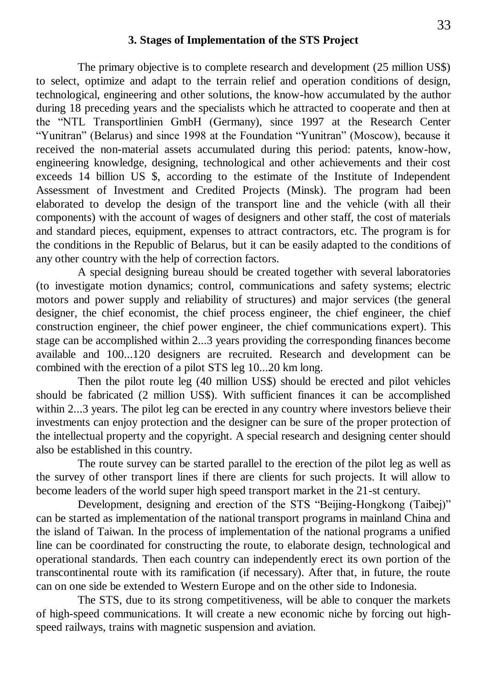#### **3. Stages of Implementation of the STS Project**

The primary objective is to complete research and development (25 million US\$) to select, optimize and adapt to the terrain relief and operation conditions of design, technological, engineering and other solutions, the know-how accumulated by the author during 18 preceding years and the specialists which he attracted to cooperate and then at the "NTL Transportlinien GmbH (Germany), since 1997 at the Research Center "Yunitran" (Belarus) and since 1998 at the Foundation "Yunitran" (Moscow), because it received the non-material assets accumulated during this period: patents, know-how, engineering knowledge, designing, technological and other achievements and their cost exceeds 14 billion US \$, according to the estimate of the Institute of Independent Assessment of Investment and Credited Projects (Minsk). The program had been elaborated to develop the design of the transport line and the vehicle (with all their components) with the account of wages of designers and other staff, the cost of materials and standard pieces, equipment, expenses to attract contractors, etc. The program is for the conditions in the Republic of Belarus, but it can be easily adapted to the conditions of any other country with the help of correction factors.

A special designing bureau should be created together with several laboratories (to investigate motion dynamics; control, communications and safety systems; electric motors and power supply and reliability of structures) and major services (the general designer, the chief economist, the chief process engineer, the chief engineer, the chief construction engineer, the chief power engineer, the chief communications expert). This stage can be accomplished within 2...3 years providing the corresponding finances become available and 100...120 designers are recruited. Research and development can be combined with the erection of a pilot STS leg 10...20 km long.

Then the pilot route leg (40 million US\$) should be erected and pilot vehicles should be fabricated (2 million US\$). With sufficient finances it can be accomplished within 2...3 years. The pilot leg can be erected in any country where investors believe their investments can enjoy protection and the designer can be sure of the proper protection of the intellectual property and the copyright. A special research and designing center should also be established in this country.

The route survey can be started parallel to the erection of the pilot leg as well as the survey of other transport lines if there are clients for such projects. It will allow to become leaders of the world super high speed transport market in the 21-st century.

Development, designing and erection of the STS "Beijing-Hongkong (Taibej)" can be started as implementation of the national transport programs in mainland China and the island of Taiwan. In the process of implementation of the national programs a unified line can be coordinated for constructing the route, to elaborate design, technological and operational standards. Then each country can independently erect its own portion of the transcontinental route with its ramification (if necessary). After that, in future, the route can on one side be extended to Western Europe and on the other side to Indonesia.

The STS, due to its strong competitiveness, will be able to conquer the markets of high-speed communications. It will create a new economic niche by forcing out highspeed railways, trains with magnetic suspension and aviation.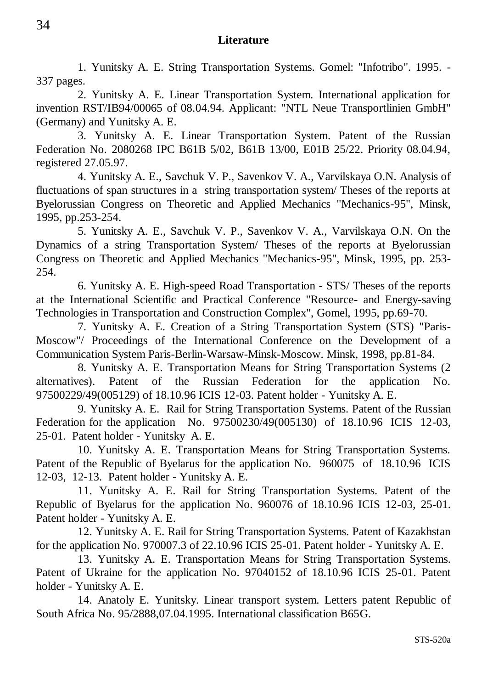#### **Literature**

1. Yunitsky A. E. String Transportation Systems. Gomel: "Infotribo". 1995. - 337 pages.

2. Yunitsky A. E. Linear Transportation System. International application for invention RST/IB94/00065 of 08.04.94. Applicant: "NTL Neue Transportlinien GmbH" (Germany) and Yunitsky A. E.

3. Yunitsky A. E. Linear Transportation System. Patent of the Russian Federation No. 2080268 IPC B61B 5/02, B61B 13/00, E01B 25/22. Priority 08.04.94, registered 27.05.97.

4. Yunitsky A. E., Savchuk V. P., Savenkov V. A., Varvilskaya O.N. Analysis of fluctuations of span structures in a string transportation system/ Theses of the reports at Byelorussian Congress on Theoretic and Applied Mechanics "Mechanics-95", Minsk, 1995, pp.253-254.

5. Yunitsky A. E., Savchuk V. P., Savenkov V. A., Varvilskaya O.N. On the Dynamics of a string Transportation System/ Theses of the reports at Byelorussian Congress on Theoretic and Applied Mechanics "Mechanics-95", Minsk, 1995, pp. 253- 254.

6. Yunitsky A. E. High-speed Road Transportation - STS/ Theses of the reports at the International Scientific and Practical Conference "Resource- and Energy-saving Technologies in Transportation and Construction Complex", Gomel, 1995, pp.69-70.

7. Yunitsky A. E. Creation of a String Transportation System (STS) "Paris-Moscow"/ Proceedings of the International Conference on the Development of a Communication System Paris-Berlin-Warsaw-Minsk-Moscow. Minsk, 1998, pp.81-84.

8. Yunitsky A. E. Transportation Means for String Transportation Systems (2 alternatives). Patent of the Russian Federation for the application No. 97500229/49(005129) of 18.10.96 ICIS 12-03. Patent holder - Yunitsky A. E.

9. Yunitsky A. E. Rail for String Transportation Systems. Patent of the Russian Federation for the application No. 97500230/49(005130) of 18.10.96 ICIS 12-03, 25-01. Patent holder - Yunitsky A. E.

10. Yunitsky A. E. Transportation Means for String Transportation Systems. Patent of the Republic of Byelarus for the application No. 960075 of 18.10.96 ICIS 12-03, 12-13. Patent holder - Yunitsky A. E.

11. Yunitsky A. E. Rail for String Transportation Systems. Patent of the Republic of Byelarus for the application No. 960076 of 18.10.96 ICIS 12-03, 25-01. Patent holder - Yunitsky A. E.

12. Yunitsky A. E. Rail for String Transportation Systems. Patent of Kazakhstan for the application No. 970007.3 of 22.10.96 ICIS 25-01. Patent holder - Yunitsky A. E.

13. Yunitsky A. E. Transportation Means for String Transportation Systems. Patent of Ukraine for the application No. 97040152 of 18.10.96 ICIS 25-01. Patent holder - Yunitsky A. E.

14. Anatoly E. Yunitsky. Linear transport system. Letters patent Republic of South Africa No. 95/2888,07.04.1995. International classification B65G.